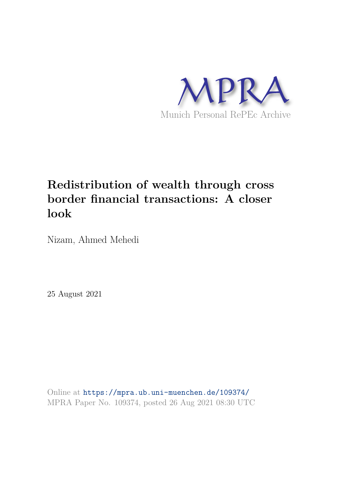

# **Redistribution of wealth through cross border financial transactions: A closer look**

Nizam, Ahmed Mehedi

25 August 2021

Online at https://mpra.ub.uni-muenchen.de/109374/ MPRA Paper No. 109374, posted 26 Aug 2021 08:30 UTC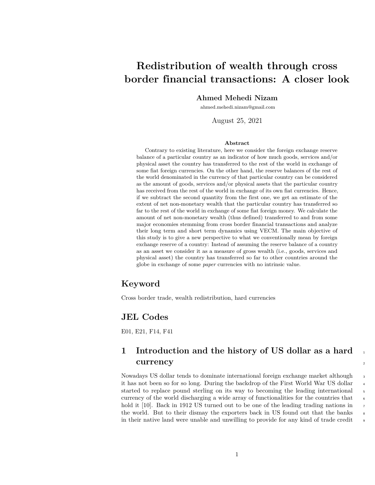## **Redistribution of wealth through cross border financial transactions: A closer look**

#### **Ahmed Mehedi Nizam**

ahmed.mehedi.nizam@gmail.com

August 25, 2021

#### **Abstract**

Contrary to existing literature, here we consider the foreign exchange reserve balance of a particular country as an indicator of how much goods, services and/or physical asset the country has transferred to the rest of the world in exchange of some fiat foreign currencies. On the other hand, the reserve balances of the rest of the world denominated in the currency of that particular country can be considered as the amount of goods, services and/or physical assets that the particular country has received from the rest of the world in exchange of its own fiat currencies. Hence, if we subtract the second quantity from the first one, we get an estimate of the extent of net non-monetary wealth that the particular country has transferred so far to the rest of the world in exchange of some fiat foreign money. We calculate the amount of net non-monetary wealth (thus defined) transferred to and from some major economies stemming from cross border financial transactions and analyze their long term and short term dynamics using VECM. The main objective of this study is to give a new perspective to what we conventionally mean by foreign exchange reserve of a country: Instead of assuming the reserve balance of a country as an asset we consider it as a measure of gross wealth (i.e., goods, services and physical asset) the country has transferred so far to other countries around the globe in exchange of some *paper* currencies with no intrinsic value.

#### **Keyword**

Cross border trade, wealth redistribution, hard currencies

#### **JEL Codes**

E01, E21, F14, F41

#### **1 Introduction and the history of US dollar as a hard currency** <sup>2</sup>

Nowadays US dollar tends to dominate international foreign exchange market although 3 it has not been so for so long. During the backdrop of the First World War US dollar started to replace pound sterling on its way to becoming the leading international 5 currency of the world discharging a wide array of functionalities for the countries that  $\epsilon$ hold it [10]. Back in 1912 US turned out to be one of the leading trading nations in the world. But to their dismay the exporters back in US found out that the banks  $\frac{8}{10}$ in their native land were unable and unwilling to provide for any kind of trade credit <sup>9</sup>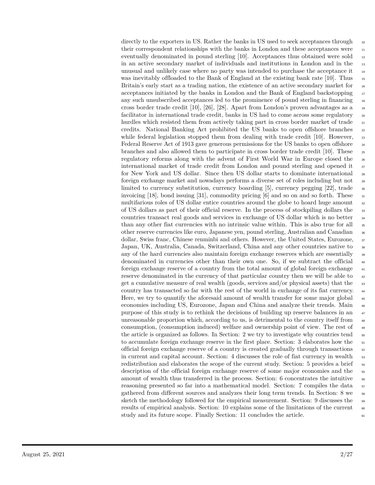directly to the exporters in US. Rather the banks in US used to seek acceptances through 10 their correspondent relationships with the banks in London and these acceptances were  $\frac{1}{11}$ eventually denominated in pound sterling  $[10]$ . Acceptances thus obtained were sold  $\frac{12}{2}$ in an active secondary market of individuals and institutions in London and in the 13 unusual and unlikely case where no party was intended to purchase the acceptance it  $_{14}$ was inevitably offloaded to the Bank of England at the existing bank rate [10]. Thus 15 Britain's early start as a trading nation, the existence of an active secondary market for  $\frac{16}{16}$ acceptances initiated by the banks in London and the Bank of England backstopping 17 any such unsubscribed acceptances led to the prominence of pound sterling in financing  $_{18}$ cross border trade credit  $[10]$ ,  $[26]$ ,  $[28]$ . Apart from London's proven advantages as a facilitator in international trade credit, banks in US had to come across some regulatory 20 hurdles which resisted them from actively taking part in cross border market of trade  $_{21}$ credits. National Banking Act prohibited the US banks to open offshore branches  $_{22}$ while federal legislation stopped them from dealing with trade credit [10]. However,  $_{23}$ Federal Reserve Act of 1913 gave generous permissions for the US banks to open offshore  $_{24}$ branches and also allowed them to participate in cross border trade credit [10]. These  $\frac{25}{25}$ regulatory reforms along with the advent of First World War in Europe closed the <sup>26</sup> international market of trade credit from London and pound sterling and opened it 27 for New York and US dollar. Since then US dollar starts to dominate international 28 foreign exchange market and nowadays performs a diverse set of roles including but not 29 limited to currency substitution, currency boarding  $[5]$ , currency pegging  $[22]$ , trade invoicing [18], bond issuing [31], commodity pricing [6] and so on and so forth. These  $\frac{31}{2}$ multifarious roles of US dollar entice countries around the globe to hoard huge amount 32 of US dollars as part of their official reserve. In the process of stockpiling dollars the <sup>33</sup> countries transact real goods and services in exchange of US dollar which is no better <sup>34</sup> than any other fiat currencies with no intrinsic value within. This is also true for all  $\frac{1}{35}$ other reserve currencies like euro, Japanese yen, pound sterling, Australian and Canadian <sup>36</sup> dollar, Swiss franc, Chinese renminbi and others. However, the United States, Eurozone,  $\frac{37}{20}$ Japan, UK, Australia, Canada, Switzerland, China and any other countries native to  $\frac{38}{10}$ any of the hard currencies also maintain foreign exchange reserves which are essentially <sup>39</sup> denominated in currencies other than their own one. So, if we subtract the official <sup>40</sup> foreign exchange reserve of a country from the total amount of global foreign exchange <sup>41</sup> reserve denominated in the currency of that particular country then we will be able to  $\frac{42}{42}$ get a cumulative measure of real wealth (goods, services and/or physical assets) that the <sup>43</sup> country has transacted so far with the rest of the world in exchange of its fiat currency. <sup>44</sup> Here, we try to quantify the aforesaid amount of wealth transfer for some major global <sup>45</sup> economies including US, Eurozone, Japan and China and analyze their trends. Main <sup>46</sup> purpose of this study is to rethink the decisions of building up reserve balances in an  $47$ unreasonable proportion which, according to us, is detrimental to the country itself from  $\frac{48}{48}$ consumption, (consumption induced) welfare and ownership point of view. The rest of <sup>49</sup> the article is organized as follows. In Section: 2 we try to investigate why countries tend  $\frac{50}{20}$ to accumulate foreign exchange reserve in the first place. Section: 3 elaborates how the 51 official foreign exchange reserve of a country is created gradually through transactions  $\frac{52}{2}$ in current and capital account. Section: 4 discusses the role of fiat currency in wealth  $\frac{1}{5}$ redistribution and elaborates the scope of the current study. Section: 5 provides a brief  $\frac{54}{54}$ description of the official foreign exchange reserve of some major economies and the 55 amount of wealth thus transferred in the process. Section:  $6$  concentrates the intuitive  $\frac{56}{100}$ reasoning presented so far into a mathematical model. Section: 7 compiles the data  $\frac{5}{2}$ gathered from different sources and analyzes their long term trends. In Section: 8 we 58 sketch the methodology followed for the empirical measurement. Section: 9 discusses the 59 results of empirical analysis. Section: 10 explains some of the limitations of the current  $\sim$ study and its future scope. Finally Section: 11 concludes the article.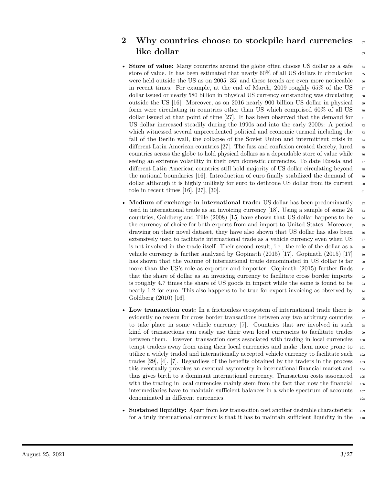### **2 Why countries choose to stockpile hard currencies**  $\alpha$ **like dollar** 63

- **Store of value:** Many countries around the globe often choose US dollar as a safe 64 store of value. It has been estimated that nearly  $60\%$  of all US dollars in circulation 65 were held outside the US as on 2005 [35] and these trends are even more noticeable  $\epsilon$ in recent times. For example, at the end of March, 2009 roughly 65% of the US  $\sigma$ dollar issued or nearly 580 billion in physical US currency outstanding was circulating <sup>68</sup> outside the US [16]. Moreover, as on 2016 nearly 900 billion US dollar in physical  $\epsilon_{9}$ form were circulating in countries other than US which comprised 60% of all US  $_{70}$ dollar issued at that point of time [27]. It has been observed that the demand for  $\pi$ US dollar increased steadily during the 1990s and into the early 2000s: A period  $\pi$ which witnessed several unprecedented political and economic turmoil including the  $\frac{73}{100}$ fall of the Berlin wall, the collapse of the Soviet Union and intermittent crisis in  $_{74}$ different Latin American countries [27]. The fuss and confusion created thereby, lured  $\frac{75}{15}$ countries across the globe to hold physical dollars as a dependable store of value while  $\tau$ seeing an extreme volatility in their own domestic currencies. To date Russia and  $77$ different Latin American countries still hold majority of US dollar circulating beyond <sup>78</sup> the national boundaries [16]. Introduction of euro finally stabilized the demand of  $\frac{79}{2}$ dollar although it is highly unlikely for euro to dethrone US dollar from its current  $\bullet$ role in recent times [16], [27], [30].
- **Medium of exchange in international trade:** US dollar has been predominantly <sup>82</sup> used in international trade as an invoicing currency [18]. Using a sample of some  $24$  83 countries, Goldberg and Tille  $(2008)$  [15] have shown that US dollar happens to be the currency of choice for both exports from and import to United States. Moreover, <sup>85</sup> drawing on their novel dataset, they have also shown that US dollar has also been  $\frac{1}{66}$ extensively used to facilitate international trade as a vehicle currency even when US <sup>87</sup> is not involved in the trade itself. Their second result, i.e., the role of the dollar as a  $\bullet$ vehicle currency is further analyzed by Gopinath  $(2015)$  [17]. Gopinath  $(2015)$  [17]  $\text{ss}$ has shown that the volume of international trade denominated in US dollar is far  $\frac{90}{2}$ more than the US's role as exporter and importer. Gopinath (2015) further finds  $\frac{91}{2}$ that the share of dollar as an invoicing currency to facilitate cross border imports  $\frac{92}{2}$ is roughly 4.7 times the share of US goods in import while the same is found to be nearly 1.2 for euro. This also happens to be true for export invoicing as observed by  $\frac{94}{94}$ Goldberg  $(2010)$  [16].
- Low transaction cost: In a frictionless ecosystem of international trade there is  $\frac{1}{96}$ evidently no reason for cross border transactions between any two arbitrary countries  $\frac{97}{97}$ to take place in some vehicle currency  $[7]$ . Countries that are involved in such  $\frac{98}{98}$ kind of transactions can easily use their own local currencies to facilitate trades 99 between them. However, transaction costs associated with trading in local currencies 100 tempt traders away from using their local currencies and make them more prone to  $_{101}$ utilize a widely traded and internationally accepted vehicle currency to facilitate such <sup>102</sup> trades  $[29]$ ,  $[4]$ ,  $[7]$ . Regardless of the benefits obtained by the traders in the process  $\frac{103}{2}$ this eventually provokes an eventual asymmetry in international financial market and <sup>104</sup> thus gives birth to a dominant international currency. Transaction costs associated 105 with the trading in local currencies mainly stem from the fact that now the financial  $_{106}$ intermediaries have to maintain sufficient balances in a whole spectrum of accounts 107 denominated in different currencies. 108
- **Sustained liquidity:** Apart from low transaction cost another desirable characteristic 109 for a truly international currency is that it has to maintain sufficient liquidity in the 110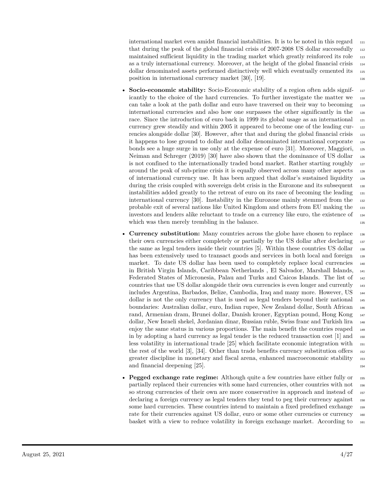international market even amidst financial instabilities. It is to be noted in this regard  $\frac{1}{111}$ that during the peak of the global financial crisis of 2007-2008 US dollar successfully 112 maintained sufficient liquidity in the trading market which greatly reinforced its role 113 as a truly international currency. Moreover, at the height of the global financial crisis  $_{114}$ dollar denominated assets performed distinctively well which eventually cemented its <sup>115</sup> position in international currency market [30], [19].

- **Socio-economic stability:** Socio-Economic stability of a region often adds significantly to the choice of the hard currencies. To further investigate the matter we <sup>118</sup> can take a look at the path dollar and euro have traversed on their way to becoming <sup>119</sup> international currencies and also how one surpasses the other significantly in the <sup>120</sup> race. Since the introduction of euro back in 1999 its global usage as an international 121 currency grew steadily and within 2005 it appeared to become one of the leading cur- <sup>122</sup> rencies alongside dollar [30]. However, after that and during the global financial crisis 123 it happens to lose ground to dollar and dollar denominated international corporate <sup>124</sup> bonds see a huge surge in use only at the expense of euro [31]. Moreover, Maggiori, <sup>125</sup> Neiman and Schreger (2019) [30] have also shown that the dominance of US dollar <sup>126</sup> is not confined to the internationally traded bond market. Rather starting roughly 127 around the peak of sub-prime crisis it is equally observed across many other aspects <sup>128</sup> of international currency use. It has been argued that dollar's sustained liquidity <sup>129</sup> during the crisis coupled with sovereign debt crisis in the Eurozone and its subsequent 130 instabilities added greatly to the retreat of euro on its race of becoming the leading <sup>131</sup> international currency [30]. Instability in the Eurozone mainly stemmed from the <sup>132</sup> probable exit of several nations like United Kingdom and others from EU making the <sup>133</sup> investors and lenders alike reluctant to trade on a currency like euro, the existence of  $_{134}$ which was then merely trembling in the balance.
- **Currency substitution:** Many countries across the globe have chosen to replace 136 their own currencies either completely or partially by the US dollar after declaring 137 the same as legal tenders inside their countries [5]. Within these countries US dollar 138 has been extensively used to transact goods and services in both local and foreign 139 market. To date US dollar has been used to completely replace local currencies <sup>140</sup> in British Virgin Islands, Caribbean Netherlands , El Salvador, Marshall Islands, <sup>141</sup> Federated States of Micronesia, Palau and Turks and Caicos Islands. The list of <sup>142</sup> countries that use US dollar alongside their own currencies is even longer and currently <sup>143</sup> includes Argentina, Barbados, Belize, Cambodia, Iraq and many more. However, US <sup>144</sup> dollar is not the only currency that is used as legal tenders beyond their national 145 boundaries: Australian dollar, euro, Indian rupee, New Zealand dollar, South African <sup>146</sup> rand, Armenian dram, Brunei dollar, Danish kroner, Egyptian pound, Hong Kong 147 dollar, New Israeli shekel, Jordanian dinar, Russian ruble, Swiss franc and Turkish lira <sup>148</sup> enjoy the same status in various proportions. The main benefit the countries reaped <sup>149</sup> in by adopting a hard currency as legal tender is the reduced transaction cost [1] and <sup>150</sup> less volatility in international trade [25] which facilitate economic integration with <sup>151</sup> the rest of the world  $[3]$ ,  $[34]$ . Other than trade benefits currency substitution offers  $\frac{152}{152}$ greater discipline in monetary and fiscal arena, enhanced macroeconomic stability <sup>153</sup> and financial deepening [25].
- **Pegged exchange rate regime:** Although quite a few countries have either fully or  $\frac{155}{155}$ partially replaced their currencies with some hard currencies, other countries with not <sup>156</sup> so strong currencies of their own are more conservative in approach and instead of  $_{157}$ declaring a foreign currency as legal tenders they tend to peg their currency against 158 some hard currencies. These countries intend to maintain a fixed predefined exchange 159 rate for their currencies against US dollar, euro or some other currencies or currency 160 basket with a view to reduce volatility in foreign exchange market. According to <sup>161</sup>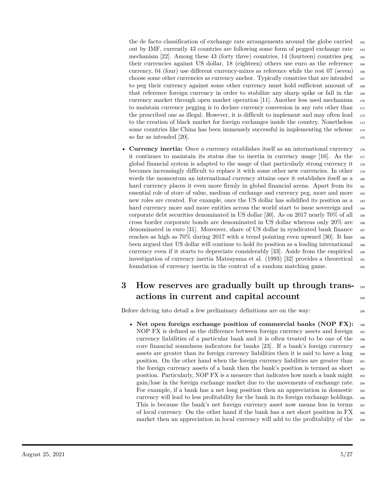the de facto classification of exchange rate arrangements around the globe carried 162 out by IMF, currently 43 countries are following some form of pegged exchange rate <sup>163</sup> mechanism  $[22]$ . Among these 43 (forty three) countries, 14 (fourteen) countries peg  $_{164}$ their currencies against US dollar, 18 (eighteen) others use euro as the reference <sup>165</sup> currency,  $04$  (four) use different currency-mixes as reference while the rest  $07$  (seven)  $_{166}$ choose some other currencies as currency anchor. Typically countries that are intended  $_{167}$ to peg their currency against some other currency must hold sufficient amount of  $_{168}$ that reference foreign currency in order to stabilize any sharp spike or fall in the <sup>169</sup> currency market through open market operation [11]. Another less used mechanism <sup>170</sup> to maintain currency pegging is to declare currency conversion in any rate other than <sup>171</sup> the prescribed one as illegal. However, it is difficult to implement and may often lead  $_{172}$ to the creation of black market for foreign exchanges inside the country. Nonetheless  $_{173}$ some countries like China has been immensely successful in implementing the scheme  $_{174}$ so far as intended [20].  $175$ 

• **Currency inertia:** Once a currency establishes itself as an international currency  $\frac{176}{176}$ it continues to maintain its status due to inertia in currency usage  $[16]$ . As the  $\overline{177}$ global financial system is adapted to the usage of that particularly strong currency it <sup>178</sup> becomes increasingly difficult to replace it with some other new currencies. In other <sup>179</sup> words the momentum an international currency attains once it establishes itself as a 180 hard currency places it even more firmly in global financial arena. Apart from its 181 essential role of store of value, medium of exchange and currency peg, more and more <sup>182</sup> new roles are created. For example, once the US dollar has solidified its position as a 183 hard currency more and more entities across the world start to issue sovereign and 184 corporate debt securities denominated in US dollar [30]. As on 2017 nearly  $70\%$  of all  $_{185}$ cross border corporate bonds are denominated in US dollar whereas only 20% are <sup>186</sup> denominated in euro [31]. Moreover, share of US dollar in syndicated bank finance <sup>187</sup> reaches as high as  $70\%$  during  $2017$  with a trend pointing even upward [30]. It has  $_{188}$ been argued that US dollar will continue to hold its position as a leading international <sup>189</sup> currency even if it starts to depreciate considerably  $[33]$ . Aside from the empirical  $_{190}$ investigation of currency inertia Matsuyama et al. (1993) [32] provides a theoretical <sup>191</sup> foundation of currency inertia in the context of a random matching game. <sup>192</sup>

### **3 How reserves are gradually built up through trans-** <sup>193</sup> **actions in current and capital account**

Before delving into detail a few preliminary definitions are on the way: <sup>195</sup>

• **Net open foreign exchange position of commercial banks (NOP FX):** <sup>196</sup> NOP FX is defined as the difference between foreign currency assets and foreign 197 currency liabilities of a particular bank and it is often treated to be one of the <sup>198</sup> core financial soundness indicators for banks [23]. If a bank's foreign currency <sup>199</sup> assets are greater than its foreign currency liabilities then it is said to have a long <sup>200</sup> position. On the other hand when the foreign currency liabilities are greater than <sup>201</sup> the foreign currency assets of a bank then the bank's position is termed as short  $_{202}$ position. Particularly, NOP FX is a measure that indicates how much a bank might <sup>203</sup> gain/lose in the foreign exchange market due to the movements of exchange rate. <sup>204</sup> For example, if a bank has a net long position then an appreciation in domestic 205 currency will lead to less profitability for the bank in its foreign exchange holdings. <sup>206</sup> This is because the bank's net foreign currency asset now means less in terms  $_{207}$ of local currency. On the other hand if the bank has a net short position in FX <sup>208</sup> market then an appreciation in local currency will add to the profitability of the 209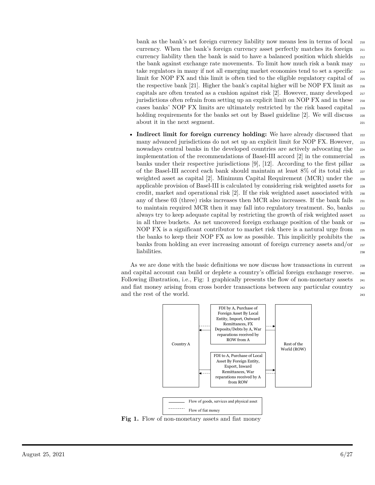bank as the bank's net foreign currency liability now means less in terms of local <sup>210</sup> currency. When the bank's foreign currency asset perfectly matches its foreign  $_{211}$ currency liability then the bank is said to have a balanced position which shields  $_{212}$ the bank against exchange rate movements. To limit how much risk a bank may 213 take regulators in many if not all emerging market economies tend to set a specific <sup>214</sup> limit for NOP FX and this limit is often tied to the eligible regulatory capital of <sup>215</sup> the respective bank [21]. Higher the bank's capital higher will be NOP FX limit as  $_{216}$ capitals are often treated as a cushion against risk  $[2]$ . However, many developed  $\frac{217}{217}$ jurisdictions often refrain from setting up an explicit limit on NOP FX and in these <sup>218</sup> cases banks' NOP FX limits are ultimately restricted by the risk based capital <sup>219</sup> holding requirements for the banks set out by Basel guideline  $[2]$ . We will discuss  $\frac{220}{20}$ about it in the next segment.

• **Indirect limit for foreign currency holding:** We have already discussed that <sub>222</sub> many advanced jurisdictions do not set up an explicit limit for NOP FX. However, 223 nowadays central banks in the developed countries are actively advocating the <sup>224</sup> implementation of the recommendations of Basel-III accord  $|2|$  in the commercial  $225$ banks under their respective jurisdictions [9], [12]. According to the first pillar  $_{226}$ of the Basel-III accord each bank should maintain at least 8% of its total risk <sup>227</sup> weighted asset as capital [2]. Minimum Capital Requirement (MCR) under the 228 applicable provision of Basel-III is calculated by considering risk weighted assets for <sup>229</sup> credit, market and operational risk [2]. If the risk weighted asset associated with <sup>230</sup> any of these 03 (three) risks increases then MCR also increases. If the bank fails  $_{231}$ to maintain required MCR then it may fall into regulatory treatment. So, banks 232 always try to keep adequate capital by restricting the growth of risk weighted asset <sup>233</sup> in all three buckets. As net uncovered foreign exchange position of the bank or <sup>234</sup> NOP FX is a significant contributor to market risk there is a natural urge from <sup>235</sup> the banks to keep their NOP FX as low as possible. This implicitly prohibits the <sup>236</sup> banks from holding an ever increasing amount of foreign currency assets and/or  $_{237}$ liabilities. 238

As we are done with the basic definitions we now discuss how transactions in current 239 and capital account can build or deplete a country's official foreign exchange reserve. <sup>240</sup> Following illustration, i.e., Fig: 1 graphically presents the flow of non-monetary assets  $_{241}$ and fiat money arising from cross border transactions between any particular country  $_{242}$ and the rest of the world. 243



**Fig 1.** Flow of non-monetary assets and fiat money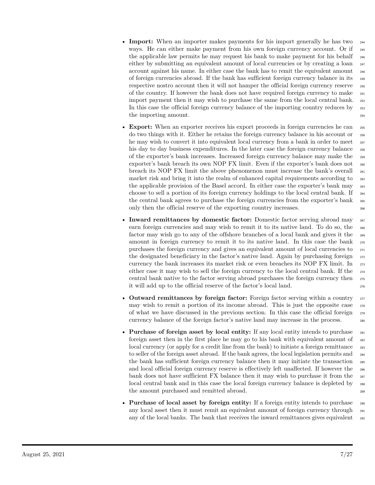- **Import:** When an importer makes payments for his import generally he has two  $_{244}$ ways. He can either make payment from his own foreign currency account. Or if  $_{245}$ the applicable law permits he may request his bank to make payment for his behalf <sup>246</sup> either by submitting an equivalent amount of local currencies or by creating a loan  $_{247}$ account against his name. In either case the bank has to remit the equivalent amount <sup>248</sup> of foreign currencies abroad. If the bank has sufficient foreign currency balance in its <sup>249</sup> respective nostro account then it will not hamper the official foreign currency reserve 250 of the country. If however the bank does not have required foreign currency to make <sup>251</sup> import payment then it may wish to purchase the same from the local central bank. <sup>252</sup> In this case the official foreign currency balance of the importing country reduces by 253 the importing amount.
- **Export:** When an exporter receives his export proceeds in foreign currencies he can 255 do two things with it. Either he retains the foreign currency balance in his account or <sup>256</sup> he may wish to convert it into equivalent local currency from a bank in order to meet 257 his day to day business expenditures. In the later case the foreign currency balance  $\frac{258}{258}$ of the exporter's bank increases. Increased foreign currency balance may make the <sup>259</sup> exporter's bank breach its own NOP FX limit. Even if the exporter's bank does not <sup>260</sup> breach its NOP FX limit the above phenomenon must increase the bank's overall <sup>261</sup> market risk and bring it into the realm of enhanced capital requirements according to  $_{262}$ the applicable provision of the Basel accord. In either case the exporter's bank may 263 choose to sell a portion of its foreign currency holdings to the local central bank. If <sup>264</sup> the central bank agrees to purchase the foreign currencies from the exporter's bank <sub>265</sub> only then the official reserve of the exporting country increases. <sup>266</sup>
- **Inward remittances by domestic factor:** Domestic factor serving abroad may 267 earn foreign currencies and may wish to remit it to its native land. To do so, the 266 factor may wish go to any of the offshore branches of a local bank and gives it the <sup>269</sup> amount in foreign currency to remit it to its native land. In this case the bank  $_{270}$ purchases the foreign currency and gives an equivalent amount of local currencies to <sup>271</sup> the designated beneficiary in the factor's native land. Again by purchasing foreign  $_{272}$ currency the bank increases its market risk or even breaches its NOP FX limit. In <sup>273</sup> either case it may wish to sell the foreign currency to the local central bank. If the <sup>274</sup> central bank native to the factor serving abroad purchases the foreign currency then <sup>275</sup> it will add up to the official reserve of the factor's local land. <sup>276</sup>
- **Outward remittances by foreign factor:** Foreign factor serving within a country  $\frac{277}{277}$ may wish to remit a portion of its income abroad. This is just the opposite case  $\frac{278}{278}$ of what we have discussed in the previous section. In this case the official foreign <sup>279</sup> currency balance of the foreign factor's native land may increase in the process. <sup>280</sup>
- **Purchase of foreign asset by local entity:** If any local entity intends to purchase  $_{281}$ foreign asset then in the first place he may go to his bank with equivalent amount of  $_{282}$ local currency (or apply for a credit line from the bank) to initiate a foreign remittance 283 to seller of the foreign asset abroad. If the bank agrees, the local legislation permits and  $_{284}$ the bank has sufficient foreign currency balance then it may initiate the transaction  $\frac{285}{200}$ and local official foreign currency reserve is effectively left unaffected. If however the 286 bank does not have sufficient FX balance then it may wish to purchase it from the 287 local central bank and in this case the local foreign currency balance is depleted by 288 the amount purchased and remitted abroad. 289
- **Purchase of local asset by foreign entity:** If a foreign entity intends to purchase 290 any local asset then it must remit an equivalent amount of foreign currency through  $_{291}$ any of the local banks. The bank that receives the inward remittances gives equivalent <sub>292</sub>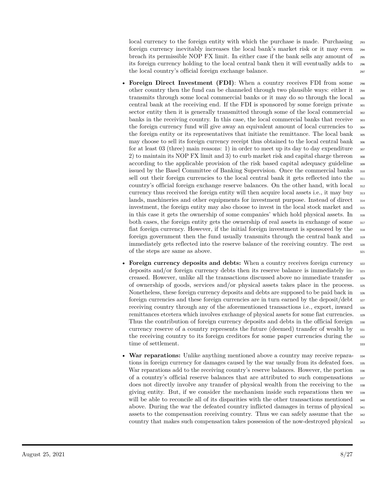local currency to the foreign entity with which the purchase is made. Purchasing 293 foreign currency inevitably increases the local bank's market risk or it may even <sup>294</sup> breach its permissible NOP FX limit. In either case if the bank sells any amount of <sup>295</sup> its foreign currency holding to the local central bank then it will eventually adds to <sup>296</sup> the local country's official foreign exchange balance.

- **Foreign Direct Investment (FDI)**: When a country receives FDI from some 298 other country then the fund can be channeled through two plausible ways: either it <sup>299</sup> transmits through some local commercial banks or it may do so through the local <sup>300</sup> central bank at the receiving end. If the FDI is sponsored by some foreign private  $\frac{301}{201}$ sector entity then it is generally transmitted through some of the local commercial <sub>302</sub> banks in the receiving country. In this case, the local commercial banks that receive  $\frac{303}{200}$ the foreign currency fund will give away an equivalent amount of local currencies to  $\frac{304}{204}$ the foreign entity or its representatives that initiate the remittance. The local bank <sub>305</sub> may choose to sell its foreign currency receipt thus obtained to the local central bank for at least 03 (three) main reasons: 1) in order to meet up its day to day expenditure  $\frac{307}{200}$ 2) to maintain its NOP FX limit and 3) to curb market risk and capital charge thereon  $\frac{308}{20}$ according to the applicable provision of the risk based capital adequacy guideline <sub>309</sub> issued by the Basel Committee of Banking Supervision. Once the commercial banks <sup>310</sup> sell out their foreign currencies to the local central bank it gets reflected into the  $\frac{311}{200}$ country's official foreign exchange reserve balances. On the other hand, with local <sup>312</sup> currency thus received the foreign entity will then acquire local assets i.e., it may buy <sup>313</sup> lands, machineries and other equipments for investment purpose. Instead of direct  $_{314}$ investment, the foreign entity may also choose to invest in the local stock market and  $\frac{315}{2}$ in this case it gets the ownership of some companies' which hold physical assets. In <sup>316</sup> both cases, the foreign entity gets the ownership of real assets in exchange of some <sup>317</sup> fiat foreign currency. However, if the initial foreign investment is sponsored by the <sup>318</sup> foreign government then the fund usually transmits through the central bank and <sup>319</sup> immediately gets reflected into the reserve balance of the receiving country. The rest <sup>320</sup> of the steps are same as above.  $321$
- **Foreign currency deposits and debts:** When a country receives foreign currency 322 deposits and/or foreign currency debts then its reserve balance is immediately in- <sup>323</sup> creased. However, unlike all the transactions discussed above no immediate transfer <sup>324</sup> of ownership of goods, services and/or physical assets takes place in the process. <sup>325</sup> Nonetheless, these foreign currency deposits and debts are supposed to be paid back in  $\frac{326}{20}$ foreign currencies and these foreign currencies are in turn earned by the deposit/debt  $327$ receiving country through any of the aforementioned transactions i.e., export, inward <sup>328</sup> remittances etcetera which involves exchange of physical assets for some fiat currencies.  $\frac{329}{20}$ Thus the contribution of foreign currency deposits and debts in the official foreign  $\frac{330}{2}$ currency reserve of a country represents the future (deemed) transfer of wealth by  $\frac{331}{331}$ the receiving country to its foreign creditors for some paper currencies during the  $\frac{332}{2}$ time of settlement. 333
- **War reparations:** Unlike anything mentioned above a country may receive reparations in foreign currency for damages caused by the war usually from its defeated foes. 335 War reparations add to the receiving country's reserve balances. However, the portion  $\frac{336}{2}$ of a country's official reserve balances that are attributed to such compensations 337 does not directly involve any transfer of physical wealth from the receiving to the  $\frac{338}{100}$ giving entity. But, if we consider the mechanism inside such reparations then we <sup>339</sup> will be able to reconcile all of its disparities with the other transactions mentioned  $\frac{340}{2}$ above. During the war the defeated country inflicted damages in terms of physical <sup>341</sup> assets to the compensation receiving country. Thus we can safely assume that the  $\frac{342}{4}$ country that makes such compensation takes possession of the now-destroyed physical <sup>343</sup>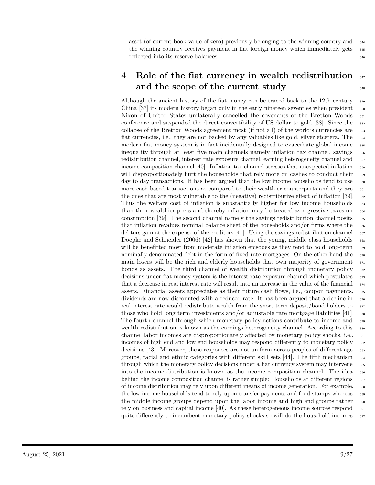asset (of current book value of zero) previously belonging to the winning country and <sup>344</sup> the winning country receives payment in fiat foreign money which immediately gets 345 reflected into its reserve balances.  $346$ 

### **4 Role of the fiat currency in wealth redistribution** <sup>347</sup> and the scope of the current study  $348$

Although the ancient history of the fiat money can be traced back to the 12th century <sup>349</sup> China  $[37]$  its modern history began only in the early nineteen seventies when president  $\frac{350}{100}$ Nixon of United States unilaterally cancelled the covenants of the Bretton Woods <sup>351</sup> conference and suspended the direct convertibility of US dollar to gold [38]. Since the <sup>352</sup> collapse of the Bretton Woods agreement most (if not all) of the world's currencies are <sup>353</sup> fiat currencies, i.e., they are not backed by any valuables like gold, silver etcetera. The <sup>354</sup> modern fiat money system is in fact incidentally designed to exacerbate global income  $\frac{355}{200}$ inequality through at least five main channels namely inflation tax channel, savings <sup>356</sup> redistribution channel, interest rate exposure channel, earning heterogeneity channel and <sup>357</sup> income composition channel [40]. Inflation tax channel stresses that unexpected inflation  $\frac{358}{2}$ will disproportionately hurt the households that rely more on cashes to conduct their  $\frac{359}{2}$ day to day transactions. It has been argued that the low income households tend to use  $\frac{360}{200}$ more cash based transactions as compared to their wealthier counterparts and they are  $\frac{361}{100}$ the ones that are most vulnerable to the (negative) redistributive effect of inflation [39]. <sup>362</sup> Thus the welfare cost of inflation is substantially higher for low income households <sub>363</sub> than their wealthier peers and thereby inflation may be treated as regressive taxes on <sup>364</sup> consumption [39]. The second channel namely the savings redistribution channel posits <sup>365</sup> that inflation revalues nominal balance sheet of the households and/or firms where the  $_{366}$ debtors gain at the expense of the creditors [41]. Using the savings redistribution channel  $\frac{367}{267}$ Doepke and Schneider  $(2006)$  [42] has shown that the young, middle class households  $\frac{368}{100}$ will be benefitted most from moderate inflation episodes as they tend to hold long-term <sub>369</sub> nominally denominated debt in the form of fixed-rate mortgages. On the other hand the  $\frac{370}{20}$ main losers will be the rich and elderly households that own majority of government  $_{371}$ bonds as assets. The third channel of wealth distribution through monetary policy  $\frac{372}{272}$ decisions under fiat money system is the interest rate exposure channel which postulates  $\frac{373}{27}$ that a decrease in real interest rate will result into an increase in the value of the financial <sup>374</sup> assets. Financial assets appreciates as their future cash flows, i.e., coupon payments, <sup>375</sup> dividends are now discounted with a reduced rate. It has been argued that a decline in <sup>376</sup> real interest rate would redistribute wealth from the short term deposit/bond holders to  $\frac{377}{27}$ those who hold long term investments and/or adjustable rate mortgage liabilities [41].  $\frac{378}{20}$ The fourth channel through which monetary policy actions contribute to income and <sup>379</sup> wealth redistribution is known as the earnings heterogeneity channel. According to this <sup>380</sup> channel labor incomes are disproportionately affected by monetary policy shocks, i.e., <sup>381</sup> incomes of high end and low end households may respond differently to monetary policy <sup>382</sup> decisions [43]. Moreover, these responses are not uniform across peoples of different age  $\frac{1}{383}$ groups, racial and ethnic categories with different skill sets [44]. The fifth mechanism <sup>384</sup> through which the monetary policy decisions under a fiat currency system may intervene 385 into the income distribution is known as the income composition channel. The idea <sup>386</sup> behind the income composition channel is rather simple: Households at different regions <sup>387</sup> of income distribution may rely upon different means of income generation. For example, <sup>388</sup> the low income households tend to rely upon transfer payments and food stamps whereas <sup>389</sup> the middle income groups depend upon the labor income and high end groups rather  $\frac{390}{2}$ rely on business and capital income [40]. As these heterogeneous income sources respond <sup>391</sup> quite differently to incumbent monetary policy shocks so will do the household incomes <sub>392</sub>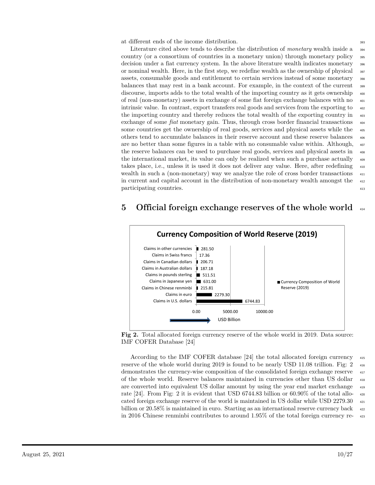at different ends of the income distribution.

Literature cited above tends to describe the distribution of *monetary* wealth inside a <sup>394</sup> country (or a consortium of countries in a monetary union) through monetary policy <sup>395</sup> decision under a fiat currency system. In the above literature wealth indicates monetary 396 or nominal wealth. Here, in the first step, we redefine wealth as the ownership of physical  $\frac{397}{2}$ assets, consumable goods and entitlement to certain services instead of some monetary 398 balances that may rest in a bank account. For example, in the context of the current <sup>399</sup> discourse, imports adds to the total wealth of the importing country as it gets ownership  $\frac{400}{400}$ of real (non-monetary) assets in exchange of some fiat foreign exchange balances with no <sup>401</sup> intrinsic value. In contrast, export transfers real goods and services from the exporting to  $\frac{402}{402}$ the importing country and thereby reduces the total wealth of the exporting country in  $\frac{403}{200}$ exchange of some *fiat* monetary gain. Thus, through cross border financial transactions some countries get the ownership of real goods, services and physical assets while the  $_{405}$ others tend to accumulate balances in their reserve account and these reserve balances <sup>406</sup> are no better than some figures in a table with no consumable value within. Although,  $_{407}$ the reserve balances can be used to purchase real goods, services and physical assets in  $\frac{408}{408}$ the international market, its value can only be realized when such a purchase actually  $\frac{409}{409}$ takes place, i.e., unless it is used it does not deliver any value. Here, after redefining <sup>410</sup> wealth in such a (non-monetary) way we analyze the role of cross border transactions  $411$ in current and capital account in the distribution of non-monetary wealth amongst the <sup>412</sup> participating countries.  $\frac{413}{413}$ 

#### **5** Official foreign exchange reserves of the whole world





According to the IMF COFER database [24] the total allocated foreign currency <sup>415</sup> reserve of the whole world during 2019 is found to be nearly USD 11.08 trillion. Fig: 2  $_{416}$ demonstrates the currency-wise composition of the consolidated foreign exchange reserve  $\frac{417}{412}$ of the whole world. Reserve balances maintained in currencies other than US dollar <sup>418</sup> are converted into equivalent US dollar amount by using the year end market exchange <sup>419</sup> rate [24]. From Fig: 2 it is evident that USD 6744*.*83 billion or 60*.*90% of the total allo- <sup>420</sup> cated foreign exchange reserve of the world is maintained in US dollar while USD 2279.30  $_{421}$ billion or  $20.58\%$  is maintained in euro. Starting as an international reserve currency back  $_{422}$ in 2016 Chinese renminbi contributes to around 1*.*95% of the total foreign currency re- <sup>423</sup>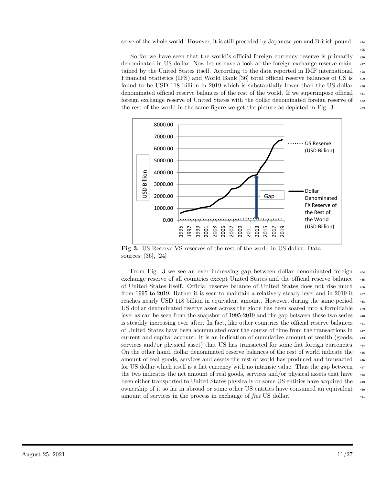serve of the whole world. However, it is still preceded by Japanese yen and British pound.  $_{424}$ 

So far we have seen that the world's official foreign currency reserve is primarily  $_{426}$ denominated in US dollar. Now let us have a look at the foreign exchange reserve main- <sup>427</sup> tained by the United States itself. According to the data reported in IMF international <sup>428</sup> Financial Statistics (IFS) and World Bank [36] total official reserve balances of US is <sup>429</sup> found to be USD 118 billion in 2019 which is substantially lower than the US dollar  $\frac{430}{4}$ denominated official reserve balances of the rest of the world. If we superimpose official <sup>431</sup> foreign exchange reserve of United States with the dollar denominated foreign reserve of  $_{432}$ the rest of the world in the same figure we get the picture as depicted in Fig: 3.



**Fig 3.** US Reserve VS reserves of the rest of the world in US dollar. Data sources: [36], [24]

From Fig: 3 we see an ever increasing gap between dollar denominated foreign  $434$ exchange reserve of all countries except United States and the official reserve balance <sup>435</sup> of United States itself. Official reserve balance of United States does not rise much <sup>436</sup> from 1995 to 2019. Rather it is seen to maintain a relatively steady level and in 2019 it <sup>437</sup> reaches nearly USD 118 billion in equivalent amount. However, during the same period <sup>438</sup> US dollar denominated reserve asset across the globe has been soared into a formidable <sup>439</sup> level as can be seen from the snapshot of 1995-2019 and the gap between these two series  $\frac{440}{400}$ is steadily increasing ever after. In fact, like other countries the official reserve balances  $\frac{441}{400}$ of United States have been accumulated over the course of time from the transactions in <sup>442</sup> current and capital account. It is an indication of cumulative amount of wealth (goods, <sup>443</sup> services and/or physical asset) that US has transacted for some fiat foreign currencies.  $\frac{444}{400}$ On the other hand, dollar denominated reserve balances of the rest of world indicate the <sup>445</sup> amount of real goods, services and assets the rest of world has produced and transacted <sup>446</sup> for US dollar which itself is a fiat currency with no intrinsic value. Thus the gap between  $\frac{447}{400}$ the two indicates the net amount of real goods, services and/or physical assets that have <sup>448</sup> been either transported to United States physically or some US entities have acquired the <sup>449</sup> ownership of it so far in abroad or some other US entities have consumed an equivalent <sup>450</sup> amount of services in the process in exchange of *fiat* US dollar.  $451$ 

425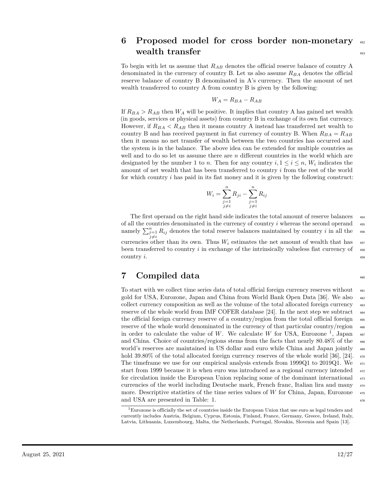#### **6 Proposed model for cross border non-monetary** <sup>452</sup> **wealth transfer**  $\frac{453}{453}$

To begin with let us assume that *RAB* denotes the official reserve balance of country A denominated in the currency of country B. Let us also assume *RBA* denotes the official reserve balance of country B denominated in A's currency. Then the amount of net wealth transferred to country A from country B is given by the following:

$$
W_A = R_{BA} - R_{AB}
$$

If  $R_{BA} > R_{AB}$  then  $W_A$  will be positive. It implies that country A has gained net wealth (in goods, services or physical assets) from country B in exchange of its own fiat currency. However, if  $R_{BA} < R_{AB}$  then it means country A instead has transferred net wealth to country B and has received payment in fiat currency of country B. When  $R_{BA} = R_{AB}$ then it means no net transfer of wealth between the two countries has occurred and the system is in the balance. The above idea can be extended for multiple countries as well and to do so let us assume there are *n* different countries in the world which are designated by the number 1 to *n*. Then for any country  $i, 1 \leq i \leq n$ ,  $W_i$  indicates the amount of net wealth that has been transferred to country *i* from the rest of the world for which country *i* has paid in its fiat money and it is given by the following construct:

$$
W_i = \sum_{\substack{j=1 \ j \neq i}}^n R_{ji} - \sum_{\substack{j=1 \ j \neq i}}^n R_{ij}
$$

The first operand on the right hand side indicates the total amount of reserve balances  $_{454}$ of all the countries denominated in the currency of country *i* whereas the second operand  $_{455}$ namely  $\sum_{\substack{j=1 \ j \neq i}}^{n} R_{ij}$  denotes the total reserve balances maintained by country *i* in all the 456 currencies other than its own. Thus  $W_i$  estimates the net amount of wealth that has  $457$ been transferred to country  $i$  in exchange of the intrinsically valueless fiat currency of  $\frac{458}{458}$  $\text{country } i.$  459

#### **7** Compiled data

To start with we collect time series data of total official foreign currency reserves without <sup>461</sup> gold for USA, Eurozone, Japan and China from World Bank Open Data [36]. We also <sup>462</sup> collect currency composition as well as the volume of the total allocated foreign currency <sup>463</sup> reserve of the whole world from IMF COFER database [24]. In the next step we subtract  $_{464}$ the official foreign currency reserve of a country/region from the total official foreign  $_{465}$ reserve of the whole world denominated in the currency of that particular country/region  $_{466}$ in order to calculate the value of *W*. We calculate *W* for USA, Eurozone<sup>1</sup>, Japan  $_{467}$ and China. Choice of countries/regions stems from the facts that nearly 80.48% of the world's reserves are maintained in US dollar and euro while China and Japan jointly  $\frac{469}{469}$ hold 39.80% of the total allocated foreign currency reserves of the whole world [36], [24].  $\frac{470}{470}$ The timeframe we use for our empirical analysis extends from 1999Q1 to 2019Q1. We  $_{471}$ start from 1999 because it is when euro was introduced as a regional currency intended  $_{472}$ for circulation inside the European Union replacing some of the dominant international  $\frac{473}{473}$ currencies of the world including Deutsche mark, French franc, Italian lira and many <sup>474</sup> more. Descriptive statistics of the time series values of *W* for China, Japan, Eurozone  $_{475}$ and USA are presented in Table: 1.  $\frac{476}{476}$ 

 $1$ Eurozone is officially the set of countries inside the European Union that use euro as legal tenders and currently includes Austria, Belgium, Cyprus, Estonia, Finland, France, Germany, Greece, Ireland, Italy, Latvia, Lithuania, Luxembourg, Malta, the Netherlands, Portugal, Slovakia, Slovenia and Spain [13].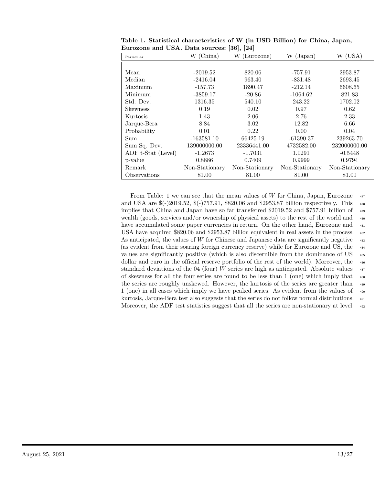| Particular         | (China)<br>W   | W<br>(Eurozone) | W<br>(Japan)   | (USA)<br>W     |
|--------------------|----------------|-----------------|----------------|----------------|
|                    |                |                 |                |                |
| Mean               | $-2019.52$     | 820.06          | $-757.91$      | 2953.87        |
| Median             | $-2416.04$     | 963.40          | $-831.48$      | 2693.45        |
| Maximum            | $-157.73$      | 1890.47         | $-212.14$      | 6608.65        |
| Minimum            | $-3859.17$     | $-20.86$        | $-1064.62$     | 821.83         |
| Std. Dev.          | 1316.35        | 540.10          | 243.22         | 1702.02        |
| <b>Skewness</b>    | 0.19           | 0.02            | 0.97           | 0.62           |
| Kurtosis           | 1.43           | 2.06            | 2.76           | 2.33           |
| Jarque-Bera        | 8.84           | 3.02            | 12.82          | 6.66           |
| Probability        | 0.01           | 0.22            | 0.00           | 0.04           |
| Sum                | $-163581.10$   | 66425.19        | $-61390.37$    | 239263.70      |
| Sum Sq. Dev.       | 139000000.00   | 23336441.00     | 4732582.00     | 232000000.00   |
| ADF t-Stat (Level) | $-1.2673$      | $-1.7031$       | 1.0291         | $-0.5448$      |
| p-value            | 0.8886         | 0.7409          | 0.9999         | 0.9794         |
| Remark             | Non-Stationary | Non-Stationary  | Non-Stationary | Non-Stationary |
| Observations       | 81.00          | 81.00           | 81.00          | 81.00          |

**Table 1. Statistical characteristics of W (in USD Billion) for China, Japan, Eurozone and USA. Data sources: [36], [24]**

From Table: 1 we can see that the mean values of *W* for China, Japan, Eurozone  $\frac{477}{470}$ and USA are  $(-2019.52, -1757.91, -1820.06, -1752.97)$  billion respectively. This implies that China and Japan have so far transferred \$2019.52 and \$757.91 billion of  $\frac{479}{479}$ wealth (goods, services and/or ownership of physical assets) to the rest of the world and  $\frac{480}{480}$ have accumulated some paper currencies in return. On the other hand, Eurozone and  $481$ USA have acquired \$820.06 and \$2953.87 billion equivalent in real assets in the process. <sup>482</sup> As anticipated, the values of W for Chinese and Japanese data are significantly negative  $\frac{483}{483}$ (as evident from their soaring foreign currency reserve) while for Eurozone and US, the <sup>484</sup> values are significantly positive (which is also discernible from the dominance of US  $_{485}$ dollar and euro in the official reserve portfolio of the rest of the world). Moreover, the  $486$ standard deviations of the 04 (four) *W* series are high as anticipated. Absolute values  $_{487}$ of skewness for all the four series are found to be less than 1 (one) which imply that  $\frac{488}{488}$ the series are roughly unskewed. However, the kurtosis of the series are greater than  $\frac{489}{489}$ 1 (one) in all cases which imply we have peaked series. As evident from the values of <sup>490</sup> kurtosis, Jarque-Bera test also suggests that the series do not follow normal distributions. <sup>491</sup> Moreover, the ADF test statistics suggest that all the series are non-stationary at level.  $_{492}$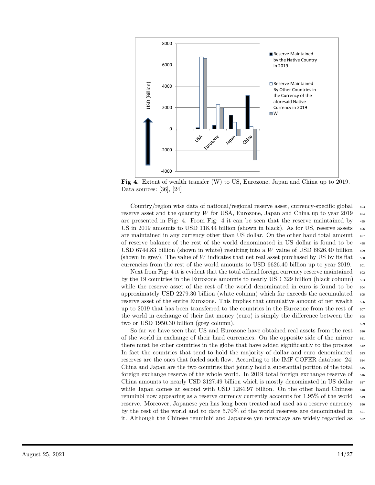

**Fig 4.** Extent of wealth transfer (W) to US, Eurozone, Japan and China up to 2019. Data sources: [36], [24]

Country/region wise data of national/regional reserve asset, currency-specific global <sup>493</sup> reserve asset and the quantity *W* for USA, Eurozone, Japan and China up to year 2019  $_{494}$ are presented in Fig: 4. From Fig: 4 it can be seen that the reserve maintained by  $\frac{495}{495}$ US in 2019 amounts to USD 118.44 billion (shown in black). As for US, reserve assets  $\frac{496}{4}$ are maintained in any currency other than US dollar. On the other hand total amount  $497$ of reserve balance of the rest of the world denominated in US dollar is found to be <sup>498</sup> USD 6744.83 billion (shown in white) resulting into a W value of USD 6626.40 billion  $\frac{499}{4}$ (shown in grey). The value of  $W$  indicates that net real asset purchased by US by its fiat  $\frac{500}{2}$ currencies from the rest of the world amounts to USD 6626.40 billion up to year 2019.  $\frac{501}{501}$ 

Next from Fig: 4 it is evident that the total official foreign currency reserve maintained  $_{502}$ by the 19 countries in the Eurozone amounts to nearly USD 329 billion (black column)  $\frac{503}{2}$ while the reserve asset of the rest of the world denominated in euro is found to be  $\frac{504}{2}$ approximately USD 2279.30 billion (white column) which far exceeds the accumulated  $\frac{505}{200}$ reserve asset of the entire Eurozone. This implies that cumulative amount of net wealth  $_{506}$ up to 2019 that has been transferred to the countries in the Eurozone from the rest of  $\frac{507}{507}$ the world in exchange of their fiat money (euro) is simply the difference between the  $_{508}$ two or USD 1950.30 billion (grey column).  $_{509}$ 

So far we have seen that US and Eurozone have obtained real assets from the rest 510 of the world in exchange of their hard currencies. On the opposite side of the mirror  $\frac{511}{211}$ there must be other countries in the globe that have added significantly to the process.  $\frac{512}{20}$ In fact the countries that tend to hold the majority of dollar and euro denominated  $\frac{513}{2}$ reserves are the ones that fueled such flow. According to the IMF COFER database  $[24]$   $_{514}$ China and Japan are the two countries that jointly hold a substantial portion of the total <sup>515</sup> foreign exchange reserve of the whole world. In 2019 total foreign exchange reserve of  $_{516}$ China amounts to nearly USD 3127.49 billion which is mostly denominated in US dollar  $_{517}$ while Japan comes at second with USD 1284.97 billion. On the other hand Chinese  $\frac{518}{2}$ renminbi now appearing as a reserve currency currently accounts for 1*.*95% of the world <sup>519</sup> reserve. Moreover, Japanese yen has long been treated and used as a reserve currency <sup>520</sup> by the rest of the world and to date 5.70% of the world reserves are denominated in  $\frac{521}{20}$ it. Although the Chinese renminbi and Japanese yen nowadays are widely regarded as  $\frac{522}{2}$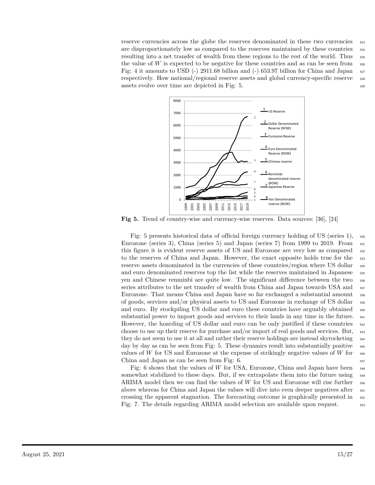reserve currencies across the globe the reserves denominated in these two currencies  $\frac{523}{223}$ are disproportionately low as compared to the reserves maintained by these countries  $\frac{524}{2}$ resulting into a net transfer of wealth from these regions to the rest of the world. Thus  $525$ the value of  $W$  is expected to be negative for these countries and as can be seen from  $\frac{526}{526}$ Fig: 4 it amounts to USD  $(-)$  2911.68 billion and  $(-)$  653.97 billion for China and Japan  $527$ respectively. How national/regional reserve assets and global currency-specific reserve  $\frac{528}{268}$  $\alpha$  assets evolve over time are depicted in Fig: 5.  $\alpha$ 



**Fig 5.** Trend of country-wise and currency-wise reserves. Data sources: [36], [24]

Fig: 5 presents historical data of official foreign currency holding of US (series 1),  $\frac{530}{2}$ Eurozone (series 3), China (series 5) and Japan (series 7) from 1999 to 2019. From  $\frac{531}{291}$ this figure it is evident reserve assets of US and Eurozone are very low as compared <sup>532</sup> to the reserves of China and Japan. However, the exact opposite holds true for the  $\frac{533}{2}$ reserve assets denominated in the currencies of these countries/region where US dollar  $\frac{534}{2}$ and euro denominated reserves top the list while the reserves maintained in Japanese  $\frac{535}{2}$ yen and Chinese renminbi are quite low. The significant difference between the two  $\frac{536}{2}$ series attributes to the net transfer of wealth from China and Japan towards USA and  $_{537}$ Eurozone. That means China and Japan have so far exchanged a substantial amount <sup>538</sup> of goods, services and/or physical assets to US and Eurozone in exchange of US dollar <sup>539</sup> and euro. By stockpiling US dollar and euro these countries have arguably obtained <sup>540</sup> substantial power to import goods and services to their lands in any time in the future.  $\frac{541}{2}$ However, the hoarding of US dollar and euro can be only justified if these countries  $\frac{542}{542}$ choose to use up their reserve for purchase and/or import of real goods and services. But, <sup>543</sup> they do not seem to use it at all and rather their reserve holdings are instead skyrocketing  $\frac{544}{544}$ day by day as can be seen from Fig: 5. These dynamics result into substantially positive  $\frac{545}{2}$ values of *W* for US and Eurozone at the expense of strikingly negative values of *W* for  $\frac{546}{900}$ China and Japan as can be seen from Fig:  $6.$   $\frac{547}{47}$ 

Fig: 6 shows that the values of *W* for USA, Eurozone, China and Japan have been  $\frac{548}{2}$ somewhat stabilized to these days. But, if we extrapolate them into the future using <sup>549</sup> ARIMA model then we can find the values of *W* for US and Eurozone will rise further  $\frac{550}{2}$ above whereas for China and Japan the values will dive into even deeper negatives after  $\frac{551}{200}$ crossing the apparent stagnation. The forecasting outcome is graphically presented in <sup>552</sup> Fig: 7. The details regarding ARIMA model selection are available upon request.  $\frac{553}{100}$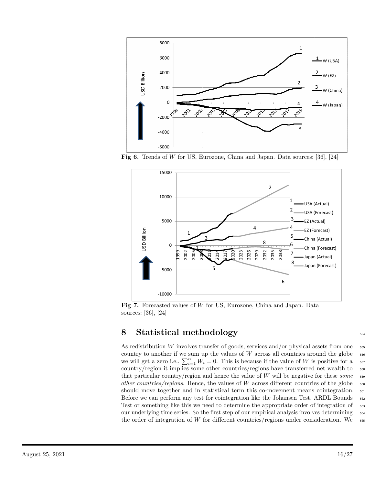

**Fig 6.** Trends of *W* for US, Eurozone, China and Japan. Data sources: [36], [24]



**Fig 7.** Forecasted values of *W* for US, Eurozone, China and Japan. Data sources: [36], [24]

### **8 Statistical methodology** <sup>554</sup>

As redistribution *W* involves transfer of goods, services and/or physical assets from one  $\frac{555}{2}$ country to another if we sum up the values of  $W$  across all countries around the globe  $\frac{556}{100}$ we will get a zero i.e.,  $\sum_{i=1}^{n} W_i = 0$ . This is because if the value of *W* is positive for a 557 country/region it implies some other countries/regions have transferred net wealth to  $\frac{558}{100}$ that particular country/region and hence the value of *W* will be negative for these *some* <sup>559</sup> *other countries/regions*. Hence, the values of *W* across different countries of the globe <sup>560</sup> should move together and in statistical term this co-movement means cointegration.  $_{561}$ Before we can perform any test for cointegration like the Johansen Test, ARDL Bounds  $_{562}$ Test or something like this we need to determine the appropriate order of integration of  $_{563}$ our underlying time series. So the first step of our empirical analysis involves determining <sup>564</sup> the order of integration of W for different countries/regions under consideration. We  $\frac{565}{665}$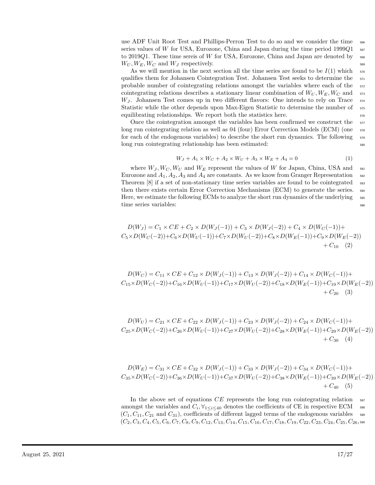use ADF Unit Root Test and Phillips-Perron Test to do so and we consider the time  $\frac{566}{200}$ series values of *W* for USA, Eurozone, China and Japan during the time period 1999 $Q1$  567 to 2019Q1. These time sereis of W for USA, Eurozone, China and Japan are denoted by  $\frac{568}{968}$  $W_U, W_E, W_C$  and  $W_J$  respectively.

As we will mention in the next section all the time series are found to be  $I(1)$  which  $\frac{570}{20}$ qualifies them for Johansen Cointegration Test. Johansen Test seeks to determine the  $\frac{571}{200}$ probable number of cointegrating relations amongst the variables where each of the  $\frac{572}{20}$ cointegrating relations describes a stationary linear combination of  $W_U, W_E, W_C$  and  $\overline{\phantom{nn}}$ *W*<sub>*J*</sub>. Johansen Test comes up in two different flavors: One intends to rely on Trace  $574$ Statistic while the other depends upon Max-Eigen Statistic to determine the number of  $575$ equilibrating relationships. We report both the statistics here.  $\frac{576}{40}$ 

Once the cointegration amongst the variables has been confirmed we construct the  $\frac{577}{2}$ long run cointegrating relation as well as 04 (four) Error Correction Models (ECM) (one <sup>578</sup> for each of the endogenous variables) to describe the short run dynamics. The following <sup>579</sup> long run cointegrating relationship has been estimated:  $\frac{580}{580}$ 

$$
W_J + A_1 \times W_C + A_2 \times W_U + A_3 \times W_E + A_4 = 0
$$
\n(1)

where  $W_J, W_C, W_U$  and  $W_E$  represent the values of W for Japan, China, USA and  $\frac{1}{581}$ Eurozone and  $A_1, A_2, A_3$  and  $A_4$  are constants. As we know from Granger Representation  $\frac{582}{2}$ Theorem [8] if a set of non-stationary time series variables are found to be cointegrated  $\frac{583}{2}$ then there exists certain Error Correction Mechanisms (ECM) to generate the series. <sup>584</sup> Here, we estimate the following ECMs to analyze the short run dynamics of the underlying  $\frac{585}{100}$ time series variables:  $\frac{586}{200}$ 

$$
D(W_J) = C_1 \times CE + C_2 \times D(W_J(-1)) + C_3 \times D(W_J(-2)) + C_4 \times D(W_C(-1)) +
$$
  
\n
$$
C_5 \times D(W_C(-2)) + C_6 \times D(W_U(-1)) + C_7 \times D(W_U(-2)) + C_8 \times D(W_E(-1)) + C_9 \times D(W_E(-2)) + C_{10}
$$
 (2)

 $D(W_C) = C_{11} \times CE + C_{12} \times D(W_J(-1)) + C_{13} \times D(W_J(-2)) + C_{14} \times D(W_C(-1)) +$  $C_{15} \times D(W_C(-2)) + C_{16} \times D(W_U(-1)) + C_{17} \times D(W_U(-2)) + C_{18} \times D(W_E(-1)) + C_{19} \times D(W_E(-2))$  $+ C_{20} (3)$ 

$$
D(W_U) = C_{21} \times CE + C_{22} \times D(W_J(-1)) + C_{23} \times D(W_J(-2)) + C_{24} \times D(W_C(-1)) + C_{25} \times D(W_C(-2)) + C_{26} \times D(W_U(-1)) + C_{27} \times D(W_U(-2)) + C_{28} \times D(W_E(-1)) + C_{29} \times D(W_E(-2)) + C_{30} \quad (4)
$$

$$
D(W_E) = C_{31} \times CE + C_{32} \times D(W_J(-1)) + C_{33} \times D(W_J(-2)) + C_{34} \times D(W_C(-1)) +
$$
  
\n
$$
C_{35} \times D(W_C(-2)) + C_{36} \times D(W_U(-1)) + C_{37} \times D(W_U(-2)) + C_{38} \times D(W_E(-1)) + C_{39} \times D(W_E(-2)) + C_{40} (5)
$$

In the above set of equations *CE* represents the long run cointegrating relation  $\frac{587}{2}$ amongst the variables and  $C_i$ ,  $\forall_{1 \leq i \leq 40}$  denotes the coefficients of CE in respective ECM <sup>588</sup>  $(C_1, C_{11}, C_{21} \text{ and } C_{31})$ , coefficients of different lagged terms of the endogenous variables 589  $(C_2, C_3, C_4, C_5, C_6, C_7, C_8, C_9, C_{12}, C_{13}, C_{14}, C_{15}, C_{16}, C_{17}, C_{18}, C_{19}, C_{22}, C_{23}, C_{24}, C_{25}, C_{26}, s_{90}$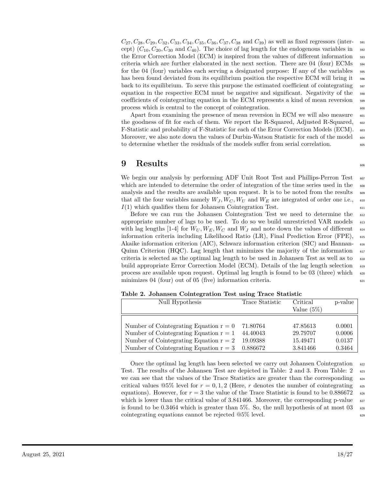$C_{27}$ ,  $C_{28}$ ,  $C_{29}$ ,  $C_{32}$ ,  $C_{33}$ ,  $C_{34}$ ,  $C_{35}$ ,  $C_{36}$ ,  $C_{37}$ ,  $C_{38}$  and  $C_{39}$ ) as well as fixed regressors (intercept)  $(C_{10}, C_{20}, C_{30}$  and  $C_{40}$ ). The choice of lag length for the endogenous variables in  $\frac{592}{2}$ the Error Correction Model (ECM) is inspired from the values of different information  $\frac{593}{2}$ criteria which are further elaborated in the next section. There are 04 (four) ECMs  $_{594}$ for the 04 (four) variables each serving a designated purpose: If any of the variables  $\frac{595}{2}$ has been found deviated from its equilibrium position the respective ECM will bring it  $_{596}$ back to its equilibrium. To serve this purpose the estimated coefficient of cointegrating  $\frac{597}{2}$ equation in the respective ECM must be negative and significant. Negativity of the  $_{598}$ coefficients of cointegrating equation in the ECM represents a kind of mean reversion <sup>599</sup> process which is central to the concept of cointegration. 600

Apart from examining the presence of mean reversion in ECM we will also measure  $\frac{601}{601}$ the goodness of fit for each of them. We report the R-Squared, Adjusted R-Squared,  $\frac{602}{602}$ F-Statistic and probability of F-Statistic for each of the Error Correction Models (ECM).  $\frac{603}{200}$ Moreover, we also note down the values of Durbin-Watson Statistic for each of the model <sub>604</sub> to determine whether the residuals of the models suffer from serial correlation.  $\frac{605}{605}$ 

#### **9 Results** <sup>606</sup>

We begin our analysis by performing ADF Unit Root Test and Phillips-Perron Test  $_{607}$ which are intended to determine the order of integration of the time series used in the  $\frac{608}{608}$ analysis and the results are available upon request. It is to be noted from the results  $\frac{609}{609}$ that all the four variables namely  $W_J$ ,  $W_C$ ,  $W_U$  and  $W_E$  are integrated of order one i.e.,  $\epsilon_{10}$  $I(1)$  which qualifies them for Johansen Cointegration Test.

Before we can run the Johansen Cointegration Test we need to determine the <sup>612</sup> appropriate number of lags to be used. To do so we build unrestricted VAR models  $\frac{613}{613}$ with lag lengths [1-4] for  $W_U, W_E, W_C$  and  $W_J$  and note down the values of different  $\epsilon_{\text{14}}$ information criteria including Likelihood Ratio (LR), Final Prediction Error (FPE), <sup>615</sup> Akaike information criterion (AIC), Schwarz information criterion (SIC) and Hannan- <sup>616</sup> Quinn Criterion (HQC). Lag length that minimizes the majority of the information  $\epsilon_{17}$ criteria is selected as the optimal lag length to be used in Johansen Test as well as to <sup>618</sup> build appropriate Error Correction Model (ECM). Details of the lag length selection <sup>619</sup> process are available upon request. Optimal lag length is found to be 03 (three) which  $\epsilon_{0.00}$ minimizes  $04$  (four) out of  $05$  (five) information criteria.  $\frac{621}{2}$ 

| Null Hypothesis                          | Trace Statistic | Critical<br>Value $(5\%)$ | p-value |
|------------------------------------------|-----------------|---------------------------|---------|
|                                          |                 |                           |         |
| Number of Cointegrating Equation $r = 0$ | 71.80764        | 47.85613                  | 0.0001  |
| Number of Cointegrating Equation $r = 1$ | 44.40043        | 29.79707                  | 0.0006  |
| Number of Cointegrating Equation $r = 2$ | 19.09388        | 15.49471                  | 0.0137  |
| Number of Cointegrating Equation $r = 3$ | 0.886672        | 3.841466                  | 0.3464  |

**Table 2. Johansen Cointegration Test using Trace Statistic**

Once the optimal lag length has been selected we carry out Johansen Cointegration 622 Test. The results of the Johansen Test are depicted in Table: 2 and 3. From Table: 2  $\frac{623}{623}$ we can see that the values of the Trace Statistics are greater than the corresponding  $\epsilon_{624}$ critical values  $\mathcal{Q}5\%$  level for  $r = 0, 1, 2$  (Here, r denotes the number of cointegrating 625 equations). However, for  $r = 3$  the value of the Trace Statistic is found to be 0.886672 626 which is lower than the critical value of  $3.841466$ . Moreover, the corresponding p-value  $627$ is found to be  $0.3464$  which is greater than 5%. So, the null hypothesis of at most  $03\$ <sub>628</sub>  $\text{cointegrating equations cannot be rejected } @5\% \text{ level.}$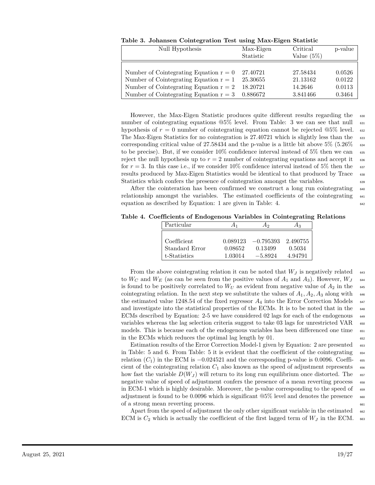| Null Hypothesis                                                                                        | Max-Eigen<br>Statistic | Critical<br>Value $(5\%)$ | p-value          |
|--------------------------------------------------------------------------------------------------------|------------------------|---------------------------|------------------|
|                                                                                                        |                        |                           |                  |
| Number of Cointegrating Equation $r = 0$ 27.40721<br>Number of Cointegrating Equation $r = 1$ 25.30655 |                        | 27.58434<br>21.13162      | 0.0526<br>0.0122 |
| Number of Cointegrating Equation $r = 2$                                                               | 18.20721               | 14.2646                   | 0.0113           |
| Number of Cointegrating Equation $r = 3$ 0.886672                                                      |                        | 3.841466                  | 0.3464           |

**Table 3. Johansen Cointegration Test using Max-Eigen Statistic**

However, the Max-Eigen Statistic produces quite different results regarding the <sup>630</sup> number of cointegrating equations  $@5\%$  level. From Table: 3 we can see that null  $\frac{631}{631}$ hypothesis of  $r = 0$  number of cointegrating equation cannot be rejected  $@5\%$  level.  $\frac{1}{6328}$ The Max-Eigen Statistics for no cointegration is 27.40721 which is slightly less than the 633 corresponding critical value of  $27.58434$  and the p-value is a little bit above  $5\%$   $(5.26\%$ to be precise). But, if we consider  $10\%$  confidence interval instead of  $5\%$  then we can  $\frac{635}{100}$ reject the null hypothesis up to  $r = 2$  number of cointegrating equations and accept it  $\epsilon_{366}$ for  $r = 3$ . In this case i.e., if we consider 10% confidence interval instead of 5% then the  $\frac{637}{20}$ results produced by Max-Eigen Statistics would be identical to that produced by Trace <sup>638</sup> Statistics which confers the presence of cointegration amongst the variables.

After the cointeration has been confirmed we construct a long run cointegrating <sup>640</sup> relationship amongst the variables. The estimated coefficients of the cointegrating  $\frac{641}{641}$ equation as described by Equation: 1 are given in Table: 4.  $\frac{642}{642}$ 

**Table 4. Coefficients of Endogenous Variables in Cointegrating Relations**

| Particular     | A1       | Аэ          | Α3       |
|----------------|----------|-------------|----------|
|                |          |             |          |
| Coefficient    | 0.089123 | $-0.795393$ | 2.490755 |
| Standard Error | 0.08652  | 0.13499     | 0.5034   |
| t-Statistics   | 1.03014  | $-5.8924$   | 4.94791  |

From the above cointegrating relation it can be noted that  $W_J$  is negatively related 643 to  $W_C$  and  $W_E$  (as can be seen from the positive values of  $A_1$  and  $A_3$ ). However,  $W_J$  644 is found to be positively correlated to  $W_U$  as evident from negative value of  $A_2$  in the cointegrating relation. In the next step we substitute the values of  $A_1, A_2, A_3$  along with 646 the estimated value 1248.54 of the fixed regressor  $A_4$  into the Error Correction Models  $\frac{647}{647}$ and investigate into the statistical properties of the ECMs. It is to be noted that in the 648 ECMs described by Equation: 2-5 we have considered 02 lags for each of the endogenous 649 variables whereas the lag selection criteria suggest to take 03 lags for unrestricted VAR  $\epsilon_{550}$ models. This is because each of the endogenous variables has been differenced one time  $\frac{651}{651}$ in the ECMs which reduces the optimal lag length by  $01$ .

Estimation results of the Error Correction Model-1 given by Equation: 2 are presented 653 in Table: 5 and 6. From Table: 5 it is evident that the coefficient of the cointegrating  $\frac{654}{654}$ relation  $(C_1)$  in the ECM is  $-0.024521$  and the corresponding p-value is 0.0096. Coeffi-  $\epsilon$ <sub>555</sub> cient of the cointegrating relation  $C_1$  also known as the speed of adjustment represents  $\epsilon_{\text{ss}}$ how fast the variable  $D(W_J)$  will return to its long run equilibrium once distorted. The <sup>657</sup> negative value of speed of adjustment confers the presence of a mean reverting process  $\frac{658}{658}$ in ECM-1 which is highly desirable. Moreover, the p-value corresponding to the speed of  $\epsilon_{659}$ adjustment is found to be 0.0096 which is significant  $@5\%$  level and denotes the presence 660 of a strong mean reverting process.  $\frac{661}{661}$ 

Apart from the speed of adjustment the only other significant variable in the estimated 662 ECM is  $C_2$  which is actually the coefficient of the first lagged term of  $W_J$  in the ECM. 663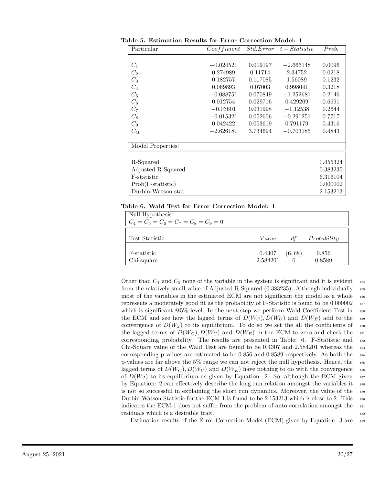| Particular          | Coefficient | <i>Std.Error</i> | $t - Statistic$ | Prob.    |
|---------------------|-------------|------------------|-----------------|----------|
|                     |             |                  |                 |          |
| $C_1$               | $-0.024521$ | 0.009197         | $-2.666148$     | 0.0096   |
| $C_2$               | 0.274989    | 0.11714          | 2.34752         | 0.0218   |
| $C_3$               | 0.182757    | 0.117085         | 1.56089         | 0.1232   |
| $C_4$               | 0.069893    | 0.07003          | 0.998041        | 0.3218   |
| $C_5$               | $-0.088751$ | 0.070849         | $-1.252681$     | 0.2146   |
| $C_6$               | 0.012754    | 0.029716         | 0.429209        | 0.6691   |
| $C_7$               | $-0.03601$  | 0.031998         | $-1.12538$      | 0.2644   |
| $C_8$               | $-0.015321$ | 0.052606         | $-0.291251$     | 0.7717   |
| $C_9$               | 0.042422    | 0.053619         | 0.791179        | 0.4316   |
| $C_{10}$            | $-2.626181$ | 3.734694         | $-0.703185$     | 0.4843   |
|                     |             |                  |                 |          |
| Model Properties:   |             |                  |                 |          |
|                     |             |                  |                 |          |
| R-Squared           |             |                  |                 | 0.455324 |
| Adjusted R-Squared  |             |                  |                 | 0.383235 |
| F-statistic         |             |                  |                 | 6.316104 |
| $Prob(F-statistic)$ |             |                  |                 | 0.000002 |
| Durbin-Watson stat  |             |                  |                 | 2.153213 |

**Table 5. Estimation Results for Error Correction Model: 1**

#### **Table 6. Wald Test for Error Correction Model: 1**

| Null Hypothesis:                        |          |         |             |
|-----------------------------------------|----------|---------|-------------|
| $C_4 = C_5 = C_6 = C_7 = C_8 = C_9 = 0$ |          |         |             |
|                                         |          |         |             |
| Test Statistic                          | Value    | df      | Probability |
|                                         |          |         |             |
| F-statistic                             | 0.4307   | (6, 68) | 0.856       |
| Chi-square                              | 2.584201 | 6       | 0.8589      |

Other than  $C_1$  and  $C_2$  none of the variable in the system is significant and it is evident  $\epsilon_{64}$ from the relatively small value of Adjusted R-Squared (0.383235). Although individually <sub>665</sub> most of the variables in the estimated ECM are not significant the model as a whole  $\frac{666}{666}$ represents a moderately good fit as the probability of F-Statistic is found to be 0.000002 <sup>667</sup> which is significant  $@5\%$  level. In the next step we perform Wald Coefficient Test in  $\frac{668}{668}$ the ECM and see how the lagged terms of  $D(W_C)$ ,  $D(W_U)$  and  $D(W_F)$  add to the 669 convergence of  $D(W_J)$  to its equilibrium. To do so we set the all the coefficients of  $\sigma$ <sub>070</sub> the lagged terms of  $D(W_C)$ ,  $D(W_U)$  and  $D(W_E)$  in the ECM to zero and check the  $\sigma$ <sup>1</sup> corresponding probability. The results are presented in Table: 6. F-Statistic and <sup>672</sup> Chi-Square value of the Wald Test are found to be 0*.*4307 and 2*.*584201 whereas the <sup>673</sup> corresponding p-values are estimated to be 0*.*856 and 0*.*8589 respectively. As both the <sup>674</sup> p-values are far above the  $5\%$  range we can not reject the null hypothesis. Hence, the  $\frac{675}{675}$ lagged terms of  $D(W_C)$ ,  $D(W_U)$  and  $D(W_E)$  have nothing to do with the convergence 676 of  $D(W_J)$  to its equilibrium as given by Equation: 2. So, although the ECM given  $\epsilon_{\text{57}}$ by Equation: 2 can effectively describe the long run relation amongst the variables it  $\sigma$ is not so successful in explaining the short run dynamics. Moreover, the value of the  $\frac{679}{679}$ Durbin-Watson Statistic for the ECM-1 is found to be 2.153213 which is close to 2. This 680 indicates the ECM-1 does not suffer from the problem of auto correlation amongst the  $\frac{681}{681}$ residuals which is a desirable trait.  $\frac{682}{20}$ 

Estimation results of the Error Correction Model (ECM) given by Equation: 3 are 683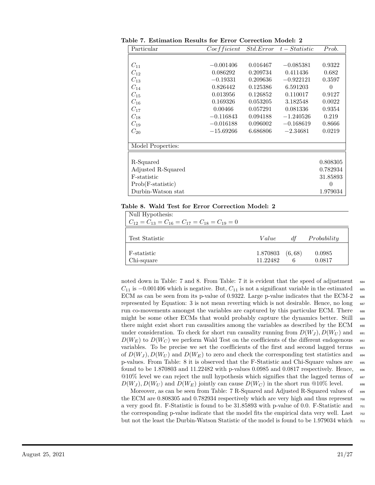| Particular          | Coefficient | <i>Std.Error</i> | $t - Statistic$ | Prob.    |
|---------------------|-------------|------------------|-----------------|----------|
|                     |             |                  |                 |          |
| $C_{11}$            | $-0.001406$ | 0.016467         | $-0.085381$     | 0.9322   |
| $C_{12}$            | 0.086292    | 0.209734         | 0.411436        | 0.682    |
| $C_{13}$            | $-0.19331$  | 0.209636         | $-0.922121$     | 0.3597   |
| $C_{14}$            | 0.826442    | 0.125386         | 6.591203        | $\theta$ |
| $C_{15}$            | 0.013956    | 0.126852         | 0.110017        | 0.9127   |
| $C_{16}$            | 0.169326    | 0.053205         | 3.182548        | 0.0022   |
| $C_{17}$            | 0.00466     | 0.057291         | 0.081336        | 0.9354   |
| $C_{18}$            | $-0.116843$ | 0.094188         | $-1.240526$     | 0.219    |
| $C_{19}$            | $-0.016188$ | 0.096002         | $-0.168619$     | 0.8666   |
| $C_{20}$            | $-15.69266$ | 6.686806         | $-2.34681$      | 0.0219   |
|                     |             |                  |                 |          |
| Model Properties:   |             |                  |                 |          |
|                     |             |                  |                 |          |
| R-Squared           |             |                  |                 | 0.808305 |
| Adjusted R-Squared  |             |                  |                 | 0.782934 |
| F-statistic         |             |                  |                 | 31.85893 |
| $Prob(F-statistic)$ |             |                  |                 | $\theta$ |
| Durbin-Watson stat  |             |                  |                 | 1.979034 |

**Table 7. Estimation Results for Error Correction Model: 2**

#### **Table 8. Wald Test for Error Correction Model: 2**

| Null Hypothesis:<br>$C_{12} = C_{13} = C_{16} = C_{17} = C_{18} = C_{19} = 0$ |                      |              |                  |
|-------------------------------------------------------------------------------|----------------------|--------------|------------------|
| Test Statistic                                                                | Value                | df           | Probability      |
| F-statistic<br>Chi-square                                                     | 1.870803<br>11.22482 | (6, 68)<br>6 | 0.0985<br>0.0817 |

noted down in Table: 7 and 8. From Table: 7 it is evident that the speed of adjustment 684  $C_{11}$  is  $-0.001406$  which is negative. But,  $C_{11}$  is not a significant variable in the estimated 685 ECM as can be seen from its p-value of 0.9322. Large p-value indicates that the ECM-2 <sub>686</sub> represented by Equation: 3 is not mean reverting which is not desirable. Hence, no long 687 run co-movements amongst the variables are captured by this particular ECM. There  $\frac{688}{688}$ might be some other ECMs that would probably capture the dynamics better. Still <sup>689</sup> there might exist short run causalities among the variables as described by the ECM 690 under consideration. To check for short run causality running from  $D(W_J)$ ,  $D(W_U)$  and 691  $D(W_E)$  to  $D(W_C)$  we perform Wald Test on the coefficients of the different endogenous 692 variables. To be precise we set the coefficients of the first and second lagged terms  $\frac{693}{2}$ of  $D(W_J)$ ,  $D(W_U)$  and  $D(W_E)$  to zero and check the corresponding test statistics and 694 p-values. From Table: 8 it is observed that the F-Statistic and Chi-Square values are <sup>695</sup> found to be 1*.*870803 and 11*.*22482 with p-values 0*.*0985 and 0*.*0817 respectively. Hence, <sup>696</sup>  $@10\%$  level we can reject the null hypothesis which signifies that the lagged terms of 697  $D(W_J)$ ,  $D(W_U)$  and  $D(W_E)$  jointly can cause  $D(W_C)$  in the short run @10% level. 698

Moreover, as can be seen from Table: 7 R-Squared and Adjusted R-Squared values of 699 the ECM are 0.808305 and 0.782934 respectively which are very high and thus represent  $\tau_{00}$ a very good fit. F-Statistic is found to be 31*.*85893 with p-value of 0*.*0. F-Statistic and <sup>701</sup> the corresponding p-value indicate that the model fits the empirical data very well. Last  $702$ but not the least the Durbin-Watson Statistic of the model is found to be 1.979034 which  $\frac{703}{703}$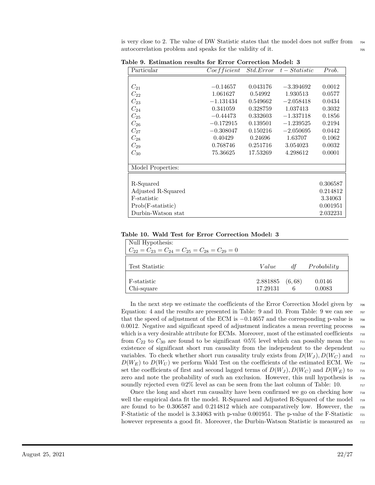is very close to 2. The value of DW Statistic states that the model does not suffer from  $\tau_{04}$ autocorrelation problem and speaks for the validity of it.

| Particular          | Coefficient |          | $Std. Error \t t - Statistic$ | Prob.    |
|---------------------|-------------|----------|-------------------------------|----------|
|                     |             |          |                               |          |
| $C_{21}$            | $-0.14657$  | 0.043176 | $-3.394692$                   | 0.0012   |
| $C_{22}$            | 1.061627    | 0.54992  | 1.930513                      | 0.0577   |
| $C_{23}$            | $-1.131434$ | 0.549662 | $-2.058418$                   | 0.0434   |
| $C_{24}$            | 0.341059    | 0.328759 | 1.037413                      | 0.3032   |
| $C_{25}$            | $-0.44473$  | 0.332603 | $-1.337118$                   | 0.1856   |
| $C_{26}$            | $-0.172915$ | 0.139501 | $-1.239525$                   | 0.2194   |
| $C_{27}$            | $-0.308047$ | 0.150216 | $-2.050695$                   | 0.0442   |
| $C_{28}$            | 0.40429     | 0.24696  | 1.63707                       | 0.1062   |
| $C_{29}$            | 0.768746    | 0.251716 | 3.054023                      | 0.0032   |
| $C_{30}$            | 75.36625    | 17.53269 | 4.298612                      | 0.0001   |
|                     |             |          |                               |          |
| Model Properties:   |             |          |                               |          |
|                     |             |          |                               |          |
| R-Squared           |             |          |                               | 0.306587 |
| Adjusted R-Squared  |             |          |                               | 0.214812 |
| F-statistic         |             |          |                               | 3.34063  |
| $Prob(F-statistic)$ |             |          |                               | 0.001951 |
| Durbin-Watson stat  |             |          |                               | 2.032231 |

**Table 9. Estimation results for Error Correction Model: 3**

| Table 10. Wald Test for Error Correction Model: 3 |
|---------------------------------------------------|
|---------------------------------------------------|

| Null Hypothesis:<br>$C_{22} = C_{23} = C_{24} = C_{25} = C_{28} = C_{29} = 0$ |          |         |             |
|-------------------------------------------------------------------------------|----------|---------|-------------|
| Test Statistic                                                                | Value    | df      | Probability |
|                                                                               |          |         |             |
| F-statistic                                                                   | 2.881885 | (6, 68) | 0.0146      |
| Chi-square                                                                    | 17.29131 | 6       | 0.0083      |

In the next step we estimate the coefficients of the Error Correction Model given by  $_{706}$ Equation: 4 and the results are presented in Table: 9 and 10. From Table: 9 we can see  $\tau_{07}$ that the speed of adjustment of the ECM is  $-0.14657$  and the corresponding p-value is  $\frac{708}{100}$ 0.0012. Negative and significant speed of adjustment indicates a mean reverting process  $\frac{709}{200}$ which is a very desirable attribute for ECMs. Moreover, most of the estimated coefficients  $\frac{710}{200}$ from  $C_{22}$  to  $C_{30}$  are found to be significant  $@5\%$  level which can possibly mean the  $711$ existence of significant short run causality from the independent to the dependent  $\pi_{12}$ variables. To check whether short run causality truly exists from  $D(W_J)$ ,  $D(W_C)$  and  $\tau_{13}$  $D(W_E)$  to  $D(W_U)$  we perform Wald Test on the coefficients of the estimated ECM. We  $_{714}$ set the coefficients of first and second lagged terms of  $D(W_J)$ ,  $D(W_C)$  and  $D(W_E)$  to 715 zero and note the probability of such an exclusion. However, this null hypothesis is  $_{716}$ soundly rejected even  $@2\%$  level as can be seen from the last column of Table: 10.  $\frac{717}{212}$ 

Once the long and short run causality have been confirmed we go on checking how <sup>718</sup> well the empirical data fit the model. R-Squared and Adjusted R-Squared of the model <sup>719</sup> are found to be 0*.*306587 and 0*.*214812 which are comparatively low. However, the <sup>720</sup> F-Statistic of the model is 3*.*34063 with p-value 0*.*001951. The p-value of the F-Statistic <sup>721</sup> however represents a good fit. Moreover, the Durbin-Watson Statistic is measured as  $\frac{722}{20}$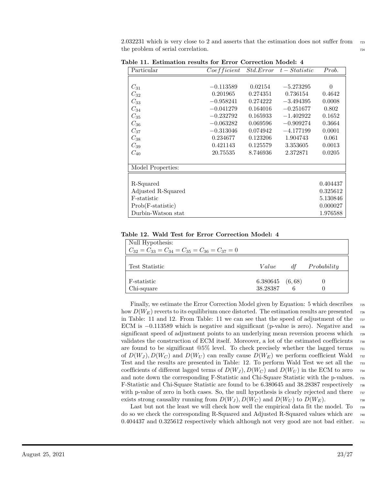2.032231 which is very close to 2 and asserts that the estimation does not suffer from  $\frac{723}{200}$ the problem of serial correlation. The series of serial correlation.

| Particular          | Coefficient |          | $Std. Error \t t - Statistic$ | Prob.    |
|---------------------|-------------|----------|-------------------------------|----------|
|                     |             |          |                               |          |
| $C_{31}$            | $-0.113589$ | 0.02154  | $-5.273295$                   | $\theta$ |
| $C_{32}$            | 0.201965    | 0.274351 | 0.736154                      | 0.4642   |
| $C_{33}$            | $-0.958241$ | 0.274222 | $-3.494395$                   | 0.0008   |
| $C_{34}$            | $-0.041279$ | 0.164016 | $-0.251677$                   | 0.802    |
| $C_{35}$            | $-0.232792$ | 0.165933 | $-1.402922$                   | 0.1652   |
| $C_{36}$            | $-0.063282$ | 0.069596 | $-0.909274$                   | 0.3664   |
| $C_{37}$            | $-0.313046$ | 0.074942 | $-4.177199$                   | 0.0001   |
| $C_{38}$            | 0.234677    | 0.123206 | 1.904743                      | 0.061    |
| $C_{39}$            | 0.421143    | 0.125579 | 3.353605                      | 0.0013   |
| $C_{40}$            | 20.75535    | 8.746936 | 2.372871                      | 0.0205   |
| Model Properties:   |             |          |                               |          |
|                     |             |          |                               |          |
| R-Squared           |             |          |                               | 0.404437 |
| Adjusted R-Squared  |             |          |                               | 0.325612 |
| F-statistic         |             |          |                               | 5.130846 |
| $Prob(F-statistic)$ |             |          |                               | 0.000027 |
| Durbin-Watson stat  |             |          |                               | 1.976588 |

**Table 11. Estimation results for Error Correction Model: 4**

| Table 12. Wald Test for Error Correction Model: 4 |  |
|---------------------------------------------------|--|
|---------------------------------------------------|--|

| Null Hypothesis:<br>$C_{32} = C_{33} = C_{34} = C_{35} = C_{36} = C_{37} = 0$ |                      |              |             |
|-------------------------------------------------------------------------------|----------------------|--------------|-------------|
| Test Statistic                                                                | Value                | df           | Probability |
| F-statistic<br>Chi-square                                                     | 6.380645<br>38.28387 | (6, 68)<br>6 |             |

Finally, we estimate the Error Correction Model given by Equation: 5 which describes  $\frac{725}{125}$ how  $D(W_E)$  reverts to its equilibrium once distorted. The estimation results are presented  $\tau_{26}$ in Table: 11 and 12. From Table: 11 we can see that the speed of adjustment of the  $\frac{7}{27}$ ECM is −0.113589 which is negative and significant (p-value is zero). Negative and  $\frac{728}{280}$ significant speed of adjustment points to an underlying mean reversion process which  $\frac{729}{20}$ validates the construction of ECM itself. Moreover, a lot of the estimated coefficients  $\frac{730}{200}$ are found to be significant  $@5\%$  level. To check precisely whether the lagged terms  $731$ of  $D(W_J)$ ,  $D(W_C)$  and  $D(W_U)$  can really cause  $D(W_E)$  we perform coefficient Wald  $\tau_{32}$ Test and the results are presented in Table: 12. To perform Wald Test we set all the  $\frac{733}{2}$ coefficients of different lagged terms of  $D(W_J)$ ,  $D(W_C)$  and  $D(W_U)$  in the ECM to zero  $\tau_{34}$ and note down the corresponding F-Statistic and Chi-Square Statistic with the p-values.  $735$ F-Statistic and Chi-Square Statistic are found to be 6*.*380645 and 38*.*28387 respectively <sup>736</sup> with p-value of zero in both cases. So, the null hypothesis is clearly rejected and there 737 exists strong causality running from  $D(W_J)$ ,  $D(W_C)$  and  $D(W_U)$  to  $D(W_E)$ .

Last but not the least we will check how well the empirical data fit the model. To  $\frac{739}{200}$ do so we check the corresponding R-Squared and Adjusted R-Squared values which are <sup>740</sup> 0*.*404437 and 0*.*325612 respectively which although not very good are not bad either. <sup>741</sup>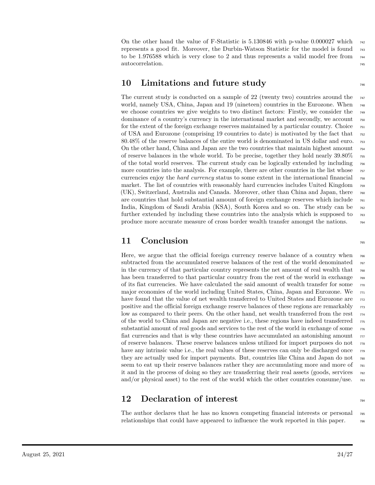On the other hand the value of F-Statistic is 5*.*130846 with p-value 0*.*000027 which <sup>742</sup> represents a good fit. Moreover, the Durbin-Watson Statistic for the model is found <sup>743</sup> to be 1.976588 which is very close to 2 and thus represents a valid model free from  $\frac{744}{64}$ autocorrelation. The control of the control of the control of the control of the control of the control of the control of the control of the control of the control of the control of the control of the control of the contro

#### **10 Limitations and future study** <sup>746</sup>

The current study is conducted on a sample of 22 (twenty two) countries around the  $\frac{747}{64}$ world, namely USA, China, Japan and 19 (nineteen) countries in the Eurozone. When <sup>748</sup> we choose countries we give weights to two distinct factors: Firstly, we consider the  $\frac{749}{200}$ dominance of a country's currency in the international market and secondly, we account  $\tau_{50}$ for the extent of the foreign exchange reserves maintained by a particular country. Choice  $\tau_{51}$ of USA and Eurozone (comprising 19 countries to date) is motivated by the fact that <sup>752</sup> 80.48% of the reserve balances of the entire world is denominated in US dollar and euro.  $\frac{753}{153}$ On the other hand, China and Japan are the two countries that maintain highest amount  $\tau_{54}$ of reserve balances in the whole world. To be precise, together they hold nearly 39*.*80% <sup>755</sup> of the total world reserves. The current study can be logically extended by including <sup>756</sup> more countries into the analysis. For example, there are other countries in the list whose  $\frac{757}{757}$ currencies enjoy the *hard currency* status to some extent in the international financial <sup>758</sup> market. The list of countries with reasonably hard currencies includes United Kingdom <sup>759</sup> (UK), Switzerland, Australia and Canada. Moreover, other than China and Japan, there <sup>760</sup> are countries that hold substantial amount of foreign exchange reserves which include  $_{761}$ India, Kingdom of Saudi Arabia (KSA), South Korea and so on. The study can be <sup>762</sup> further extended by including these countries into the analysis which is supposed to  $\tau_{63}$ produce more accurate measure of cross border wealth transfer amongst the nations.  $764$ 

#### **11 Conclusion**

Here, we argue that the official foreign currency reserve balance of a country when  $_{766}$ subtracted from the accumulated reserve balances of the rest of the world denominated  $767$ in the currency of that particular country represents the net amount of real wealth that  $\tau_{68}$ has been transferred to that particular country from the rest of the world in exchange  $\tau_{69}$ of its fiat currencies. We have calculated the said amount of wealth transfer for some  $\tau_{70}$ major economies of the world including United States, China, Japan and Eurozone. We  $\pi$ have found that the value of net wealth transferred to United States and Eurozone are  $772$ positive and the official foreign exchange reserve balances of these regions are remarkably  $\tau_{73}$ low as compared to their peers. On the other hand, net wealth transferred from the rest  $774$ of the world to China and Japan are negative i.e., these regions have indeed transferred <sup>775</sup> substantial amount of real goods and services to the rest of the world in exchange of some  $\tau_{76}$ fiat currencies and that is why these countries have accumulated an astonishing amount  $\pi$ of reserve balances. These reserve balances unless utilized for import purposes do not <sup>778</sup> have any intrinsic value i.e., the real values of these reserves can only be discharged once  $\tau_{79}$ they are actually used for import payments. But, countries like China and Japan do not <sup>780</sup> seem to eat up their reserve balances rather they are accumulating more and more of  $\tau_{\text{B1}}$ it and in the process of doing so they are transferring their real assets (goods, services  $\frac{782}{162}$ and/or physical asset) to the rest of the world which the other countries consume/use.  $\frac{783}{183}$ 

#### **12 Declaration of interest**

The author declares that he has no known competing financial interests or personal  $\frac{785}{785}$ relationships that could have appeared to influence the work reported in this paper.  $\frac{786}{60}$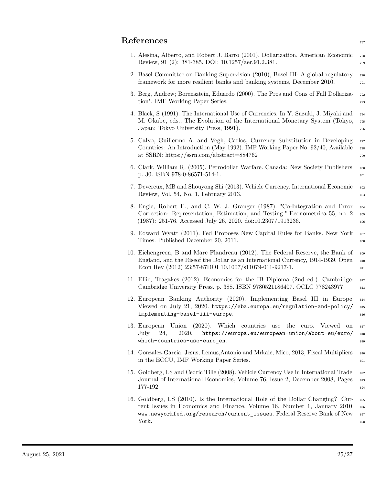#### **References**

| 1. Alesina, Alberto, and Robert J. Barro (2001). Dollarization. American Economic | 788 |
|-----------------------------------------------------------------------------------|-----|
| Review, 91 (2): 381-385. DOI: 10.1257/aer.91.2.381.                               | 789 |

- 2. Basel Committee on Banking Supervision (2010), Basel III: A global regulatory <sup>790</sup> framework for more resilient banks and banking systems, December 2010. <sup>791</sup>
- 3. Berg, Andrew; Borensztein, Eduardo (2000). The Pros and Cons of Full Dollariza- <sup>792</sup> tion". IMF Working Paper Series. The mass of the series of the series of the series of the series of the series of the series of the series of the series of the series of the series of the series of the series of the serie
- 4. Black, S (1991). The International Use of Currencies. In Y. Suzuki, J. Miyaki and <sup>794</sup> M. Okabe, eds., The Evolution of the International Monetary System (Tokyo, <sup>795</sup> Japan: Tokyo University Press, 1991). <sup>796</sup>
- 5. Calvo, Guillermo A. and Vegh, Carlos, Currency Substitution in Developing <sup>797</sup> Countries: An Introduction (May 1992). IMF Working Paper No. 92/40, Available <sup>798</sup> at SSRN: https://ssrn.com/abstract=884762  $799$
- 6. Clark, William R. (2005). Petrodollar Warfare. Canada: New Society Publishers. <sup>800</sup> p. 30. ISBN 978-0-86571-514-1.
- 7. Devereux, MB and Shouyong Shi (2013). Vehicle Currency. International Economic <sup>802</sup> Review, Vol. 54, No. 1, February 2013.
- 8. Engle, Robert F., and C. W. J. Granger (1987). "Co-Integration and Error  $\frac{1}{804}$ Correction: Representation, Estimation, and Testing." Econometrica 55, no. 2  $^{80}$  $(1987): 251-76.$  Accessed July 26, 2020. doi:10.2307/1913236.
- 9. Edward Wyatt (2011). Fed Proposes New Capital Rules for Banks. New York 807 Times. Published December 20, 2011.
- 10. Eichengreen, B and Marc Flandreau (2012). The Federal Reserve, the Bank of  $\frac{809}{809}$ England, and the Riseof the Dollar as an International Currency, 1914-1939. Open  $\frac{1}{810}$ Econ Rev (2012) 23:57-87DOI 10.1007/s11079-011-9217-1.
- 11. Ellie, Tragakes (2012). Economics for the IB Diploma (2nd ed.). Cambridge: <sup>812</sup> Cambridge University Press. p. 388. ISBN 9780521186407. OCLC 778243977 813
- 12. European Banking Authority (2020). Implementing Basel III in Europe. <sup>814</sup> Viewed on July 21, 2020. https://eba.europa.eu/regulation-and-policy/ <sup>815</sup> implementing-basel-iii-europe. **816** and 816
- 13. European Union (2020). Which countries use the euro. Viewed on  $_{817}$ July 24, 2020. https://europa.eu/european-union/about-eu/euro/ 818 which-countries-use-euro\_en. **819** and 819 and 819 and 819 and 819 and 819 and 819 and 819 and 819 and 819 and 819 and 819 and 819 and 819 and 819 and 819 and 819 and 819 and 819 and 819 and 819 and 819 and 819 and 819 and
- 14. Gonzalez-Garcia, Jesus, Lemus,Antonio and Mrkaic, Mico, 2013, Fiscal Multipliers <sup>820</sup> in the ECCU, IMF Working Paper Series.
- 15. Goldberg, LS and Cedric Tille (2008). Vehicle Currency Use in International Trade. <sup>822</sup> Journal of International Economics, Volume 76, Issue 2, December 2008, Pages 823  $177-192$  824
- 16. Goldberg, LS (2010). Is the International Role of the Dollar Changing? Cur- <sup>825</sup> rent Issues in Economics and Finance. Volume 16, Number 1, January 2010. 826 www.newyorkfed.org/research/current\_issues. Federal Reserve Bank of New 827 York. **828**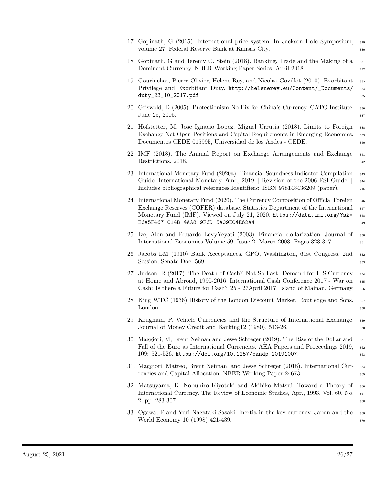| 17. Gopinath, G (2015). International price system. In Jackson Hole Symposium,<br>volume 27. Federal Reserve Bank at Kansas City.                                                                                                                                                         | 829<br>830               |
|-------------------------------------------------------------------------------------------------------------------------------------------------------------------------------------------------------------------------------------------------------------------------------------------|--------------------------|
| 18. Gopinath, G and Jeremy C. Stein (2018). Banking, Trade and the Making of a<br>Dominant Currency. NBER Working Paper Series. April 2018.                                                                                                                                               | 831<br>832               |
| 19. Gourinchas, Pierre-Olivier, Helene Rey, and Nicolas Govillot (2010). Exorbitant<br>Privilege and Exorbitant Duty. http://helenerey.eu/Content/_Documents/<br>duty_23_10_2017.pdf                                                                                                      | 833<br>834<br>835        |
| 20. Griswold, D (2005). Protectionism No Fix for China's Currency. CATO Institute.<br>June 25, 2005.                                                                                                                                                                                      | 836<br>837               |
| 21. Hofstetter, M, Jose Ignacio Lopez, Miguel Urrutia (2018). Limits to Foreign<br>Exchange Net Open Positions and Capital Requirements in Emerging Economies,<br>Documentos CEDE 015995, Universidad de los Andes - CEDE.                                                                | 838<br>839<br>840        |
| 22. IMF (2018). The Annual Report on Exchange Arrangements and Exchange<br>Restrictions. 2018.                                                                                                                                                                                            | 841<br>842               |
| 23. International Monetary Fund (2020a). Financial Soundness Indicator Compilation<br>Guide. International Monetary Fund, 2019.   Revision of the 2006 FSI Guide.  <br>Includes bibliographical references. Identifiers: ISBN 978148436209 (paper).                                       | 843<br>844<br>845        |
| 24. International Monetary Fund (2020). The Currency Composition of Official Foreign<br>Exchange Reserves (COFER) database. Statistics Department of the International<br>Monetary Fund (IMF). Viewed on July 21, 2020. https://data.imf.org/?sk=<br>E6A5F467-C14B-4AA8-9F6D-5A09EC4E62A4 | 846<br>847<br>848<br>849 |
| 25. Ize, Alen and Eduardo Levy Yeyati (2003). Financial dollarization. Journal of<br>International Economics Volume 59, Issue 2, March 2003, Pages 323-347                                                                                                                                | 850<br>851               |
| 26. Jacobs LM (1910) Bank Acceptances. GPO, Washington, 61st Congress, 2nd<br>Session, Senate Doc. 569.                                                                                                                                                                                   | 852<br>853               |
| 27. Judson, R (2017). The Death of Cash? Not So Fast: Demand for U.S.Currency<br>at Home and Abroad, 1990-2016. International Cash Conference 2017 - War on<br>Cash: Is there a Future for Cash? 25 - 27April 2017, Island of Mainau, Germany.                                            | 854<br>855<br>856        |
| 28. King WTC (1936) History of the London Discount Market. Routledge and Sons,<br>London.                                                                                                                                                                                                 | 857<br>858               |
| 29. Krugman, P. Vehicle Currencies and the Structure of International Exchange.<br>Journal of Money Credit and Banking12 (1980), 513-26.                                                                                                                                                  | 859<br>860               |
| 30. Maggiori, M, Brent Neiman and Jesse Schreger (2019). The Rise of the Dollar and<br>Fall of the Euro as International Currencies. AEA Papers and Proceedings 2019,<br>109: 521-526. https://doi.org/10.1257/pandp.20191007.                                                            | 861<br>862<br>863        |
| 31. Maggiori, Matteo, Brent Neiman, and Jesse Schreger (2018). International Cur-<br>rencies and Capital Allocation. NBER Working Paper 24673.                                                                                                                                            | 864<br>865               |
| 32. Matsuyama, K, Nobuhiro Kiyotaki and Akihiko Matsui. Toward a Theory of<br>International Currency. The Review of Economic Studies, Apr., 1993, Vol. 60, No.<br>2, pp. 283-307.                                                                                                         | 866<br>867<br>868        |
| 33. Ogawa, E and Yuri Nagataki Sasaki. Inertia in the key currency. Japan and the<br>World Economy 10 (1998) 421-439.                                                                                                                                                                     | 869<br>870               |